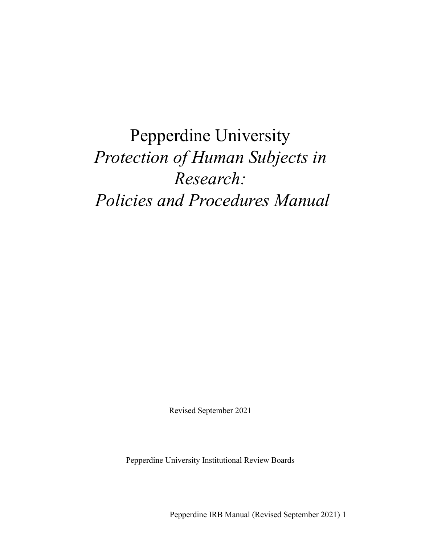# Pepperdine University *Protection of Human Subjects in Research: Policies and Procedures Manual*

Revised September 2021

Pepperdine University Institutional Review Boards

Pepperdine IRB Manual (Revised September 2021) 1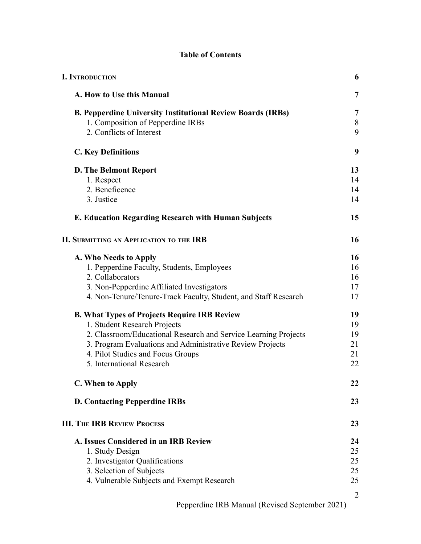# **Table of Contents**

| <b>I. INTRODUCTION</b>                                             | 6              |
|--------------------------------------------------------------------|----------------|
| A. How to Use this Manual                                          | 7              |
| <b>B. Pepperdine University Institutional Review Boards (IRBs)</b> | 7              |
| 1. Composition of Pepperdine IRBs                                  | 8              |
| 2. Conflicts of Interest                                           | 9              |
| <b>C. Key Definitions</b>                                          | 9              |
| <b>D. The Belmont Report</b>                                       | 13             |
| 1. Respect                                                         | 14             |
| 2. Beneficence                                                     | 14             |
| 3. Justice                                                         | 14             |
| E. Education Regarding Research with Human Subjects                | 15             |
| <b>II. SUBMITTING AN APPLICATION TO THE IRB</b>                    | 16             |
| A. Who Needs to Apply                                              | 16             |
| 1. Pepperdine Faculty, Students, Employees                         | 16             |
| 2. Collaborators                                                   | 16             |
| 3. Non-Pepperdine Affiliated Investigators                         | 17             |
| 4. Non-Tenure/Tenure-Track Faculty, Student, and Staff Research    | 17             |
| <b>B. What Types of Projects Require IRB Review</b>                | 19             |
| 1. Student Research Projects                                       | 19             |
| 2. Classroom/Educational Research and Service Learning Projects    | 19             |
| 3. Program Evaluations and Administrative Review Projects          | 21             |
| 4. Pilot Studies and Focus Groups                                  | 21             |
| 5. International Research                                          | 22             |
| C. When to Apply                                                   | 22             |
| <b>D. Contacting Pepperdine IRBs</b>                               | 23             |
| <b>III. THE IRB REVIEW PROCESS</b>                                 | 23             |
| A. Issues Considered in an IRB Review                              | 24             |
| 1. Study Design                                                    | 25             |
| 2. Investigator Qualifications                                     | 25             |
| 3. Selection of Subjects                                           | 25             |
| 4. Vulnerable Subjects and Exempt Research                         | 25             |
|                                                                    | $\overline{2}$ |
|                                                                    |                |

Pepperdine IRB Manual (Revised September 2021)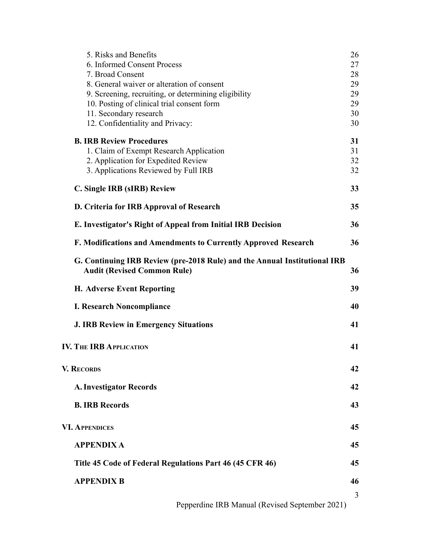| 5. Risks and Benefits                                                                                           | 26       |
|-----------------------------------------------------------------------------------------------------------------|----------|
| 6. Informed Consent Process                                                                                     | 27       |
| 7. Broad Consent                                                                                                | 28       |
| 8. General waiver or alteration of consent                                                                      | 29       |
| 9. Screening, recruiting, or determining eligibility                                                            | 29       |
| 10. Posting of clinical trial consent form                                                                      | 29<br>30 |
| 11. Secondary research<br>12. Confidentiality and Privacy:                                                      | 30       |
| <b>B. IRB Review Procedures</b>                                                                                 | 31       |
| 1. Claim of Exempt Research Application                                                                         | 31       |
| 2. Application for Expedited Review                                                                             | 32       |
| 3. Applications Reviewed by Full IRB                                                                            | 32       |
| C. Single IRB (sIRB) Review                                                                                     | 33       |
| D. Criteria for IRB Approval of Research                                                                        | 35       |
| E. Investigator's Right of Appeal from Initial IRB Decision                                                     | 36       |
| F. Modifications and Amendments to Currently Approved Research                                                  | 36       |
| G. Continuing IRB Review (pre-2018 Rule) and the Annual Institutional IRB<br><b>Audit (Revised Common Rule)</b> | 36       |
| <b>H. Adverse Event Reporting</b>                                                                               | 39       |
| <b>I. Research Noncompliance</b>                                                                                | 40       |
| <b>J. IRB Review in Emergency Situations</b>                                                                    | 41       |
| <b>IV. THE IRB APPLICATION</b>                                                                                  | 41       |
| <b>V. RECORDS</b>                                                                                               | 42       |
| <b>A. Investigator Records</b>                                                                                  | 42       |
| <b>B. IRB Records</b>                                                                                           | 43       |
| <b>VI. APPENDICES</b>                                                                                           | 45       |
| <b>APPENDIX A</b>                                                                                               | 45       |
| Title 45 Code of Federal Regulations Part 46 (45 CFR 46)                                                        | 45       |
| <b>APPENDIX B</b>                                                                                               | 46       |
|                                                                                                                 | 3        |
| Pepperdine IRB Manual (Revised September 2021)                                                                  |          |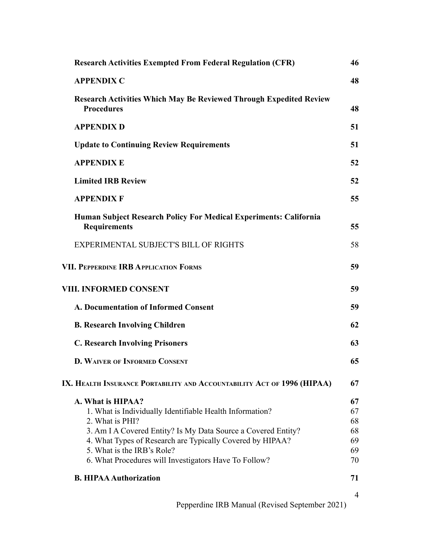| <b>Research Activities Exempted From Federal Regulation (CFR)</b>                                                                                                                                                                                                                                                     | 46                                     |
|-----------------------------------------------------------------------------------------------------------------------------------------------------------------------------------------------------------------------------------------------------------------------------------------------------------------------|----------------------------------------|
| <b>APPENDIX C</b>                                                                                                                                                                                                                                                                                                     | 48                                     |
| <b>Research Activities Which May Be Reviewed Through Expedited Review</b><br><b>Procedures</b>                                                                                                                                                                                                                        | 48                                     |
| <b>APPENDIX D</b>                                                                                                                                                                                                                                                                                                     | 51                                     |
| <b>Update to Continuing Review Requirements</b>                                                                                                                                                                                                                                                                       | 51                                     |
| <b>APPENDIX E</b>                                                                                                                                                                                                                                                                                                     | 52                                     |
| <b>Limited IRB Review</b>                                                                                                                                                                                                                                                                                             | 52                                     |
| <b>APPENDIX F</b>                                                                                                                                                                                                                                                                                                     | 55                                     |
| Human Subject Research Policy For Medical Experiments: California<br><b>Requirements</b>                                                                                                                                                                                                                              | 55                                     |
| EXPERIMENTAL SUBJECT'S BILL OF RIGHTS                                                                                                                                                                                                                                                                                 | 58                                     |
| <b>VII. PEPPERDINE IRB APPLICATION FORMS</b>                                                                                                                                                                                                                                                                          | 59                                     |
| <b>VIII. INFORMED CONSENT</b>                                                                                                                                                                                                                                                                                         | 59                                     |
| A. Documentation of Informed Consent                                                                                                                                                                                                                                                                                  | 59                                     |
| <b>B. Research Involving Children</b>                                                                                                                                                                                                                                                                                 | 62                                     |
| <b>C. Research Involving Prisoners</b>                                                                                                                                                                                                                                                                                | 63                                     |
| <b>D. WAIVER OF INFORMED CONSENT</b>                                                                                                                                                                                                                                                                                  | 65                                     |
| IX. HEALTH INSURANCE PORTABILITY AND ACCOUNTABILITY ACT OF 1996 (HIPAA)                                                                                                                                                                                                                                               | 67                                     |
| A. What is HIPAA?<br>1. What is Individually Identifiable Health Information?<br>2. What is PHI?<br>3. Am I A Covered Entity? Is My Data Source a Covered Entity?<br>4. What Types of Research are Typically Covered by HIPAA?<br>5. What is the IRB's Role?<br>6. What Procedures will Investigators Have To Follow? | 67<br>67<br>68<br>68<br>69<br>69<br>70 |
| <b>B. HIPAA Authorization</b>                                                                                                                                                                                                                                                                                         | 71                                     |
|                                                                                                                                                                                                                                                                                                                       |                                        |

4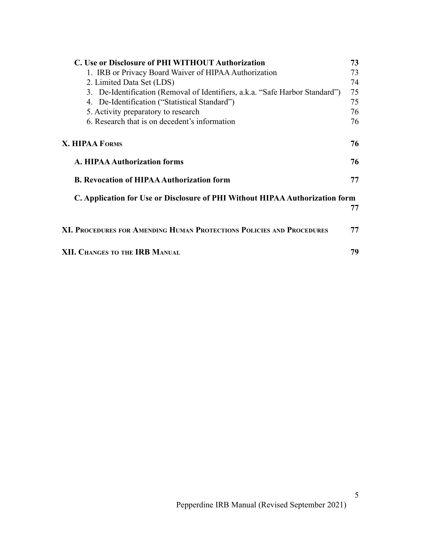| C. Use or Disclosure of PHI WITHOUT Authorization                            | 73 |
|------------------------------------------------------------------------------|----|
| 1. IRB or Privacy Board Waiver of HIPAA Authorization                        | 73 |
| 2. Limited Data Set (LDS)                                                    | 74 |
| 3. De-Identification (Removal of Identifiers, a.k.a. "Safe Harbor Standard") | 75 |
| 4. De-Identification ("Statistical Standard")                                | 75 |
| 5. Activity preparatory to research                                          | 76 |
| 6. Research that is on decedent's information                                | 76 |
| X. HIPAA FORMS                                                               | 76 |
| A. HIPAA Authorization forms                                                 | 76 |
| <b>B. Revocation of HIPAA Authorization form</b>                             | 77 |
| C. Application for Use or Disclosure of PHI Without HIPAA Authorization form |    |
|                                                                              | 77 |
| XI. Procedures for Amending Human Protections Policies and Procedures        | 77 |
| XII. Changes to the IRB Manual                                               | 79 |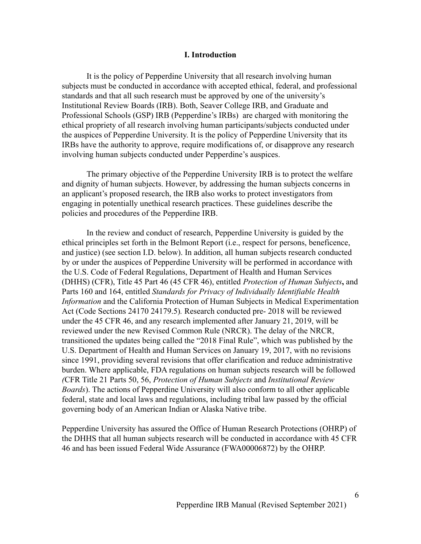#### **I. Introduction**

<span id="page-5-0"></span>It is the policy of Pepperdine University that all research involving human subjects must be conducted in accordance with accepted ethical, federal, and professional standards and that all such research must be approved by one of the university's Institutional Review Boards (IRB). Both, Seaver College IRB, and Graduate and Professional Schools (GSP) IRB (Pepperdine's IRBs) are charged with monitoring the ethical propriety of all research involving human participants/subjects conducted under the auspices of Pepperdine University. It is the policy of Pepperdine University that its IRBs have the authority to approve, require modifications of, or disapprove any research involving human subjects conducted under Pepperdine's auspices.

The primary objective of the Pepperdine University IRB is to protect the welfare and dignity of human subjects. However, by addressing the human subjects concerns in an applicant's proposed research, the IRB also works to protect investigators from engaging in potentially unethical research practices. These guidelines describe the policies and procedures of the Pepperdine IRB.

In the review and conduct of research, Pepperdine University is guided by the ethical principles set forth in the Belmont Report (i.e., respect for persons, beneficence, and justice) (see section I.D. below). In addition, all human subjects research conducted by or under the auspices of Pepperdine University will be performed in accordance with the U.S. Code of Federal Regulations, Department of Health and Human Services (DHHS) (CFR), Title 45 Part 46 (45 CFR 46), entitled *Protection of Human Subjects***,** and Parts 160 and 164, entitled *Standards for Privacy of Individually Identifiable Health Information* and the California Protection of Human Subjects in Medical Experimentation Act (Code Sections 24170 24179.5)*.* Research conducted pre- 2018 will be reviewed under the 45 CFR 46, and any research implemented after January 21, 2019, will be reviewed under the new Revised Common Rule (NRCR). The delay of the NRCR, transitioned the updates being called the "2018 Final Rule", which was published by the U.S. Department of Health and Human Services on January 19, 2017, with no revisions since 1991, providing several revisions that offer clarification and reduce administrative burden. Where applicable, FDA regulations on human subjects research will be followed *(*CFR Title 21 Parts 50, 56, *Protection of Human Subjects* and *Institutional Review Boards*). The actions of Pepperdine University will also conform to all other applicable federal, state and local laws and regulations, including tribal law passed by the official governing body of an American Indian or Alaska Native tribe.

Pepperdine University has assured the Office of Human Research Protections (OHRP) of the DHHS that all human subjects research will be conducted in accordance with 45 CFR 46 and has been issued Federal Wide Assurance (FWA00006872) by the OHRP.

6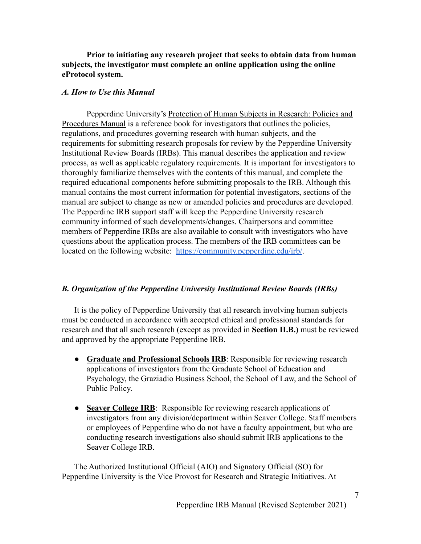**Prior to initiating any research project that seeks to obtain data from human subjects, the investigator must complete an online application using the online eProtocol system.**

#### <span id="page-6-0"></span>*A. How to Use this Manual*

Pepperdine University's Protection of Human Subjects in Research: Policies and Procedures Manual is a reference book for investigators that outlines the policies, regulations, and procedures governing research with human subjects, and the requirements for submitting research proposals for review by the Pepperdine University Institutional Review Boards (IRBs). This manual describes the application and review process, as well as applicable regulatory requirements. It is important for investigators to thoroughly familiarize themselves with the contents of this manual, and complete the required educational components before submitting proposals to the IRB. Although this manual contains the most current information for potential investigators, sections of the manual are subject to change as new or amended policies and procedures are developed. The Pepperdine IRB support staff will keep the Pepperdine University research community informed of such developments/changes. Chairpersons and committee members of Pepperdine IRBs are also available to consult with investigators who have questions about the application process. The members of the IRB committees can be located on the following website: [https://community.pepperdine.edu/irb/.](https://community.pepperdine.edu/irb/)

#### <span id="page-6-1"></span>*B. Organization of the Pepperdine University Institutional Review Boards (IRBs)*

It is the policy of Pepperdine University that all research involving human subjects must be conducted in accordance with accepted ethical and professional standards for research and that all such research (except as provided in **Section II.B.)** must be reviewed and approved by the appropriate Pepperdine IRB.

- **Graduate and Professional Schools IRB**: Responsible for reviewing research applications of investigators from the Graduate School of Education and Psychology, the Graziadio Business School, the School of Law, and the School of Public Policy.
- **Seaver College IRB**: Responsible for reviewing research applications of investigators from any division/department within Seaver College. Staff members or employees of Pepperdine who do not have a faculty appointment, but who are conducting research investigations also should submit IRB applications to the Seaver College IRB.

The Authorized Institutional Official (AIO) and Signatory Official (SO) for Pepperdine University is the Vice Provost for Research and Strategic Initiatives. At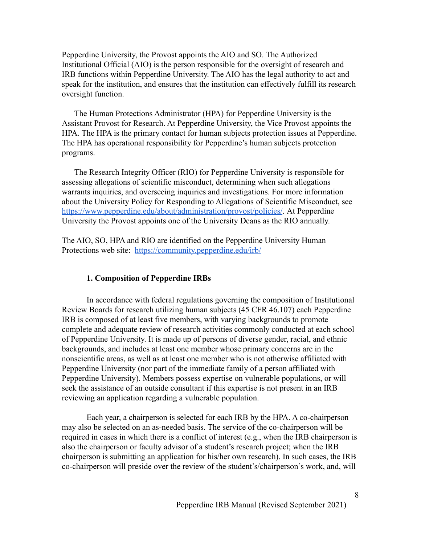Pepperdine University, the Provost appoints the AIO and SO. The Authorized Institutional Official (AIO) is the person responsible for the oversight of research and IRB functions within Pepperdine University. The AIO has the legal authority to act and speak for the institution, and ensures that the institution can effectively fulfill its research oversight function.

The Human Protections Administrator (HPA) for Pepperdine University is the Assistant Provost for Research. At Pepperdine University, the Vice Provost appoints the HPA. The HPA is the primary contact for human subjects protection issues at Pepperdine. The HPA has operational responsibility for Pepperdine's human subjects protection programs.

The Research Integrity Officer (RIO) for Pepperdine University is responsible for assessing allegations of scientific misconduct, determining when such allegations warrants inquiries, and overseeing inquiries and investigations. For more information about the [University Policy for Responding to Allegations](http://www.pepperdine.edu/provost/Library/misconductpolicy.pdf) of Scientific Misconduct, see <https://www.pepperdine.edu/about/administration/provost/policies/>. At Pepperdine University the Provost appoints one of the University Deans as the RIO annually.

The AIO, SO, HPA and RIO are identified on the Pepperdine University Human Protections web site: <https://community.pepperdine.edu/irb/>

#### <span id="page-7-0"></span>**1. Composition of Pepperdine IRBs**

In accordance with federal regulations governing the composition of Institutional Review Boards for research utilizing human subjects (45 CFR 46.107) each Pepperdine IRB is composed of at least five members, with varying backgrounds to promote complete and adequate review of research activities commonly conducted at each school of Pepperdine University. It is made up of persons of diverse gender, racial, and ethnic backgrounds, and includes at least one member whose primary concerns are in the nonscientific areas, as well as at least one member who is not otherwise affiliated with Pepperdine University (nor part of the immediate family of a person affiliated with Pepperdine University). Members possess expertise on vulnerable populations, or will seek the assistance of an outside consultant if this expertise is not present in an IRB reviewing an application regarding a vulnerable population.

Each year, a chairperson is selected for each IRB by the HPA. A co-chairperson may also be selected on an as-needed basis. The service of the co-chairperson will be required in cases in which there is a conflict of interest (e.g., when the IRB chairperson is also the chairperson or faculty advisor of a student's research project; when the IRB chairperson is submitting an application for his/her own research). In such cases, the IRB co-chairperson will preside over the review of the student's/chairperson's work, and, will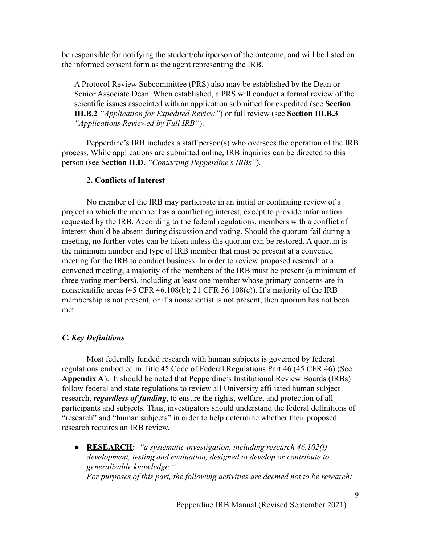be responsible for notifying the student/chairperson of the outcome, and will be listed on the informed consent form as the agent representing the IRB.

A Protocol Review Subcommittee (PRS) also may be established by the Dean or Senior Associate Dean. When established, a PRS will conduct a formal review of the scientific issues associated with an application submitted for expedited (see **Section III.B.2** *"Application for Expedited Review"*) or full review (see **Section III.B.3** *"Applications Reviewed by Full IRB"*).

Pepperdine's IRB includes a staff person(s) who oversees the operation of the IRB process. While applications are submitted online, IRB inquiries can be directed to this person (see **Section II.D.** *"Contacting Pepperdine's IRBs"*).

#### <span id="page-8-0"></span>**2. Conflicts of Interest**

No member of the IRB may participate in an initial or continuing review of a project in which the member has a conflicting interest, except to provide information requested by the IRB. According to the federal regulations, members with a conflict of interest should be absent during discussion and voting. Should the quorum fail during a meeting, no further votes can be taken unless the quorum can be restored. A quorum is the minimum number and type of IRB member that must be present at a convened meeting for the IRB to conduct business. In order to review proposed research at a convened meeting, a majority of the members of the IRB must be present (a minimum of three voting members), including at least one member whose primary concerns are in nonscientific areas (45 CFR 46.108(b); 21 CFR 56.108(c)). If a majority of the IRB membership is not present, or if a nonscientist is not present, then quorum has not been met.

#### <span id="page-8-1"></span>*C. Key Definitions*

Most federally funded research with human subjects is governed by federal regulations embodied in Title 45 Code of Federal Regulations Part 46 (45 CFR 46) (See **Appendix A**). It should be noted that Pepperdine's Institutional Review Boards (IRBs) follow federal and state regulations to review all University affiliated human subject research, *regardless of funding*, to ensure the rights, welfare, and protection of all participants and subjects. Thus, investigators should understand the federal definitions of "research" and "human subjects" in order to help determine whether their proposed research requires an IRB review.

● **RESEARCH:** *"a systematic investigation, including research 46.102(l) development, testing and evaluation, designed to develop or contribute to generalizable knowledge." For purposes of this part, the following activities are deemed not to be research:*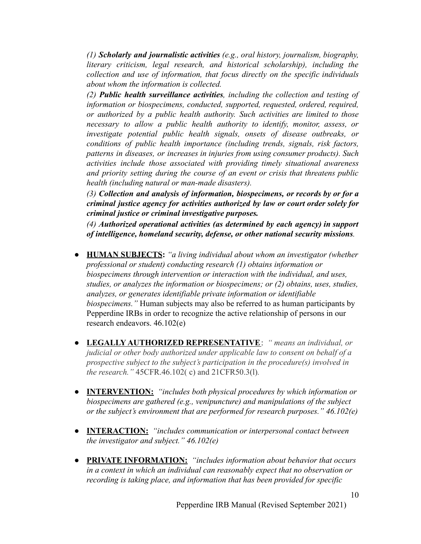*(1) Scholarly and journalistic activities (e.g., oral history, journalism, biography, literary criticism, legal research, and historical scholarship), including the collection and use of information, that focus directly on the specific individuals about whom the information is collected.*

*(2) Public health surveillance activities, including the collection and testing of information or biospecimens, conducted, supported, requested, ordered, required, or authorized by a public health authority. Such activities are limited to those necessary to allow a public health authority to identify, monitor, assess, or investigate potential public health signals, onsets of disease outbreaks, or conditions of public health importance (including trends, signals, risk factors, patterns in diseases, or increases in injuries from using consumer products). Such activities include those associated with providing timely situational awareness and priority setting during the course of an event or crisis that threatens public health (including natural or man-made disasters).*

*(3) Collection and analysis of information, biospecimens, or records by or for a criminal justice agency for activities authorized by law or court order solely for criminal justice or criminal investigative purposes.*

*(4) Authorized operational activities (as determined by each agency) in support of intelligence, homeland security, defense, or other national security missions.*

- **HUMAN SUBJECTS:** *"a living individual about whom an investigator (whether professional or student) conducting research (1) obtains information or biospecimens through intervention or interaction with the individual, and uses, studies, or analyzes the information or biospecimens; or (2) obtains, uses, studies, analyzes, or generates identifiable private information or identifiable biospecimens."* Human subjects may also be referred to as human participants by Pepperdine IRBs in order to recognize the active relationship of persons in our research endeavors. 46.102(e)
- **LEGALLY AUTHORIZED REPRESENTATIVE**: *" means an individual, or judicial or other body authorized under applicable law to consent on behalf of a prospective subject to the subject's participation in the procedure(s) involved in the research."* 45CFR.46.102( c) and 21CFR50.3(l)*.*
- **INTERVENTION:** *"includes both physical procedures by which information or biospecimens are gathered (e.g., venipuncture) and manipulations of the subject or the subject's environment that are performed for research purposes." 46.102(e)*
- **INTERACTION:** *"includes communication or interpersonal contact between the investigator and subject." 46.102(e)*
- **PRIVATE INFORMATION:** *"includes information about behavior that occurs in a context in which an individual can reasonably expect that no observation or recording is taking place, and information that has been provided for specific*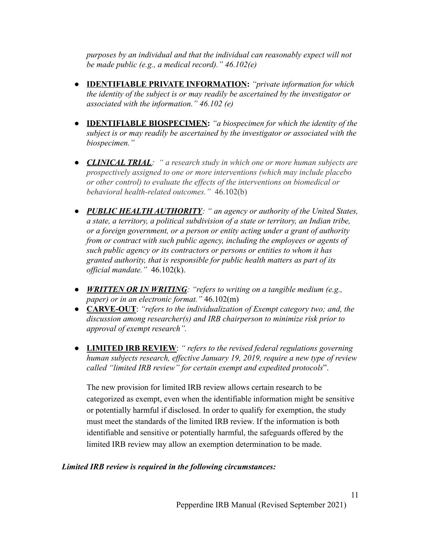*purposes by an individual and that the individual can reasonably expect will not be made public (e.g., a medical record)." 46.102(e)*

- **IDENTIFIABLE PRIVATE INFORMATION:** *"private information for which the identity of the subject is or may readily be ascertained by the investigator or associated with the information." 46.102 (e)*
- **IDENTIFIABLE BIOSPECIMEN:** *"a biospecimen for which the identity of the subject is or may readily be ascertained by the investigator or associated with the biospecimen."*
- *● CLINICAL TRIAL: " a research study in which one or more human subjects are prospectively assigned to one or more interventions (which may include placebo or other control) to evaluate the effects of the interventions on biomedical or behavioral health-related outcomes."* 46.102(b)
- *● PUBLIC HEALTH AUTHORITY: " an agency or authority of the United States, a state, a territory, a political subdivision of a state or territory, an Indian tribe, or a foreign government, or a person or entity acting under a grant of authority from or contract with such public agency, including the employees or agents of such public agency or its contractors or persons or entities to whom it has granted authority, that is responsible for public health matters as part of its official mandate."* 46.102(k).
- *● WRITTEN OR IN WRITING: "refers to writing on a tangible medium (e.g., paper) or in an electronic format."* 46.102(m)
- **CARVE-OUT**: *"refers to the individualization of Exempt category two; and, the discussion among researcher(s) and IRB chairperson to minimize risk prior to approval of exempt research".*
- **LIMITED IRB REVIEW**: *" refers to the revised federal regulations governing human subjects research, effective January 19, 2019, require a new type of review called "limited IRB review" for certain exempt and expedited protocols*".

The new provision for limited IRB review allows certain research to be categorized as exempt, even when the identifiable information might be sensitive or potentially harmful if disclosed. In order to qualify for exemption, the study must meet the standards of the limited IRB review. If the information is both identifiable and sensitive or potentially harmful, the safeguards offered by the limited IRB review may allow an exemption determination to be made.

## *Limited IRB review is required in the following circumstances:*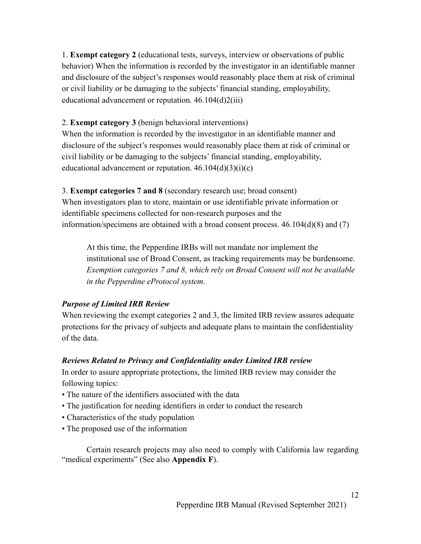1. **Exempt category 2** (educational tests, surveys, interview or observations of public behavior) When the information is recorded by the investigator in an identifiable manner and disclosure of the subject's responses would reasonably place them at risk of criminal or civil liability or be damaging to the subjects' financial standing, employability, educational advancement or reputation. 46.104(d)2(iii)

## 2. **Exempt category 3** (benign behavioral interventions)

When the information is recorded by the investigator in an identifiable manner and disclosure of the subject's responses would reasonably place them at risk of criminal or civil liability or be damaging to the subjects' financial standing, employability, educational advancement or reputation.  $46.104(d)(3)(i)(c)$ 

3. **Exempt categories 7 and 8** (secondary research use; broad consent) When investigators plan to store, maintain or use identifiable private information or identifiable specimens collected for non-research purposes and the information/specimens are obtained with a broad consent process. 46.104(d)(8) and (7)

At this time, the Pepperdine IRBs will not mandate nor implement the institutional use of Broad Consent, as tracking requirements may be burdensome. *Exemption categories 7 and 8, which rely on Broad Consent will not be available in the Pepperdine eProtocol system.*

## *Purpose of Limited IRB Review*

When reviewing the exempt categories 2 and 3, the limited IRB review assures adequate protections for the privacy of subjects and adequate plans to maintain the confidentiality of the data.

## *Reviews Related to Privacy and Confidentiality under Limited IRB review*

In order to assure appropriate protections, the limited IRB review may consider the following topics:

- The nature of the identifiers associated with the data
- The justification for needing identifiers in order to conduct the research
- Characteristics of the study population
- The proposed use of the information

Certain research projects may also need to comply with California law regarding "medical experiments" (See also **Appendix F**).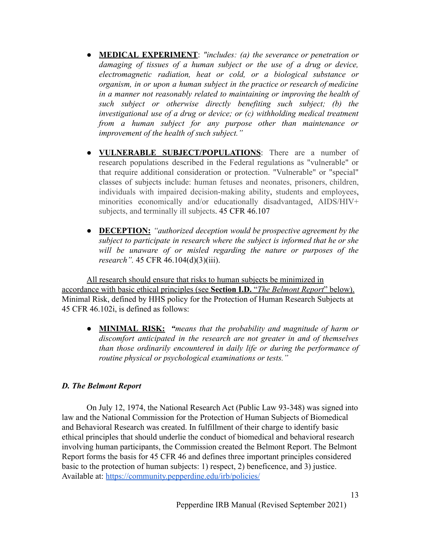- *●* **MEDICAL EXPERIMENT**: *"includes: (a) the severance or penetration or damaging of tissues of a human subject or the use of a drug or device, electromagnetic radiation, heat or cold, or a biological substance or organism, in or upon a human subject in the practice or research of medicine in a manner not reasonably related to maintaining or improving the health of such subject or otherwise directly benefiting such subject; (b) the investigational use of a drug or device; or (c) withholding medical treatment from a human subject for any purpose other than maintenance or improvement of the health of such subject."*
- **VULNERABLE SUBJECT/POPULATIONS**: There are a number of research populations described in the Federal regulations as "vulnerable" or that require additional consideration or protection. "Vulnerable" or "special" classes of subjects include: human fetuses and [neonates](http://www.virginia.edu/vpr/irb/hsr/vulnerable_pregnancy.html), [prisoners,](http://www.virginia.edu/vpr/irb/hsr/vulnerable_prisoners.html) [children,](http://www.virginia.edu/vpr/irb/hsr/vulnerable_children.html) individuals with impaired decision-making ability, students and [employees,](http://www.virginia.edu/vpr/irb/hsr/vulnerable_other.html#stuemp) [minorities](http://www.virginia.edu/vpr/irb/hsr/vulnerable_other.html#minorities) economically and/or educationally [disadvantaged,](http://www.virginia.edu/vpr/irb/hsr/vulnerable_other.html#economic) [AIDS/HIV+](http://www.virginia.edu/vpr/irb/hsr/Aids_Hiv_Subjects.docx) [subjects, and](http://www.virginia.edu/vpr/irb/hsr/Aids_Hiv_Subjects.docx) [terminally ill subjects.](http://www.virginia.edu/vprgs/irb/hsr/vulnerable_other.html#stuemp) 45 CFR 46.107
- **● DECEPTION:** *"authorized deception would be prospective agreement by the subject to participate in research where the subject is informed that he or she will be unaware of or misled regarding the nature or purposes of the research".* 45 CFR 46.104(d)(3)(iii).

All research should ensure that risks to human subjects be minimized in accordance with basic ethical principles (see **Section I.D.** "*The Belmont Report*" below). Minimal Risk, defined by HHS policy for the Protection of Human Research Subjects at 45 CFR 46.102i, is defined as follows:

*●* **MINIMAL RISK:** *"means that the probability and magnitude of harm or discomfort anticipated in the research are not greater in and of themselves than those ordinarily encountered in daily life or during the performance of routine physical or psychological examinations or tests."*

## <span id="page-12-0"></span>*D. The Belmont Report*

On July 12, 1974, the National Research Act (Public Law 93-348) was signed into law and the National Commission for the Protection of Human Subjects of Biomedical and Behavioral Research was created. In fulfillment of their charge to identify basic ethical principles that should underlie the conduct of biomedical and behavioral research involving human participants, the Commission created the Belmont Report. The Belmont Report forms the basis for 45 CFR 46 and defines three important principles considered basic to the protection of human subjects: 1) respect, 2) beneficence, and 3) justice. Available at: <https://community.pepperdine.edu/irb/policies/>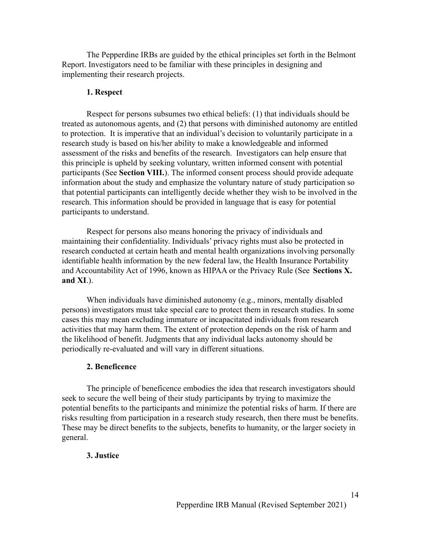The Pepperdine IRBs are guided by the ethical principles set forth in the Belmont Report. Investigators need to be familiar with these principles in designing and implementing their research projects.

#### <span id="page-13-0"></span>**1. Respect**

Respect for persons subsumes two ethical beliefs: (1) that individuals should be treated as autonomous agents, and (2) that persons with diminished autonomy are entitled to protection. It is imperative that an individual's decision to voluntarily participate in a research study is based on his/her ability to make a knowledgeable and informed assessment of the risks and benefits of the research. Investigators can help ensure that this principle is upheld by seeking voluntary, written informed consent with potential participants (See **Section VIII.**). The informed consent process should provide adequate information about the study and emphasize the voluntary nature of study participation so that potential participants can intelligently decide whether they wish to be involved in the research. This information should be provided in language that is easy for potential participants to understand.

Respect for persons also means honoring the privacy of individuals and maintaining their confidentiality. Individuals' privacy rights must also be protected in research conducted at certain heath and mental health organizations involving personally identifiable health information by the new federal law, the Health Insurance Portability and Accountability Act of 1996, known as HIPAA or the Privacy Rule (See **Sections X. and XI**.).

When individuals have diminished autonomy (e.g., minors, mentally disabled persons) investigators must take special care to protect them in research studies. In some cases this may mean excluding immature or incapacitated individuals from research activities that may harm them. The extent of protection depends on the risk of harm and the likelihood of benefit. Judgments that any individual lacks autonomy should be periodically re-evaluated and will vary in different situations.

#### <span id="page-13-1"></span>**2. Beneficence**

The principle of beneficence embodies the idea that research investigators should seek to secure the well being of their study participants by trying to maximize the potential benefits to the participants and minimize the potential risks of harm. If there are risks resulting from participation in a research study research, then there must be benefits. These may be direct benefits to the subjects, benefits to humanity, or the larger society in general.

#### <span id="page-13-2"></span>**3. Justice**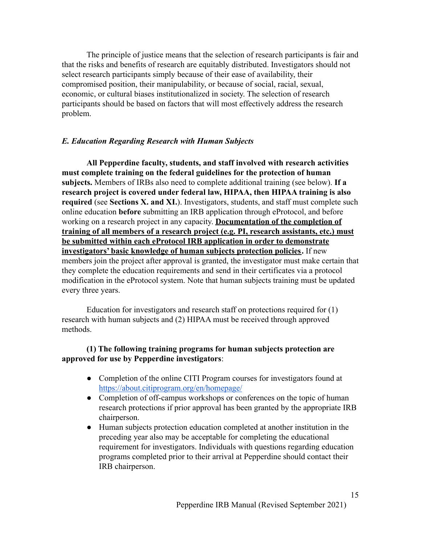The principle of justice means that the selection of research participants is fair and that the risks and benefits of research are equitably distributed. Investigators should not select research participants simply because of their ease of availability, their compromised position, their manipulability, or because of social, racial, sexual, economic, or cultural biases institutionalized in society. The selection of research participants should be based on factors that will most effectively address the research problem.

#### <span id="page-14-0"></span>*E. Education Regarding Research with Human Subjects*

**All Pepperdine faculty, students, and staff involved with research activities must complete training on the federal guidelines for the protection of human subjects.** Members of IRBs also need to complete additional training (see below). **If a research project is covered under federal law, HIPAA, then HIPAA training is also required** (see **Sections X. and XI.**). Investigators, students, and staff must complete such online education **before** submitting an IRB application through eProtocol, and before working on a research project in any capacity. **Documentation of the completion of training of all members of a research project (e.g. PI, research assistants, etc.) must be submitted within each eProtocol IRB application in order to demonstrate investigators' basic knowledge of human subjects protection policies.** If new members join the project after approval is granted, the investigator must make certain that they complete the education requirements and send in their certificates via a protocol modification in the eProtocol system. Note that human subjects training must be updated every three years.

Education for investigators and research staff on protections required for (1) research with human subjects and (2) HIPAA must be received through approved methods.

#### **(1) The following training programs for human subjects protection are approved for use by Pepperdine investigators**:

- Completion of the online CITI Program courses for investigators found at <https://about.citiprogram.org/en/homepage/>
- Completion of off-campus workshops or conferences on the topic of human research protections if prior approval has been granted by the appropriate IRB chairperson.
- Human subjects protection education completed at another institution in the preceding year also may be acceptable for completing the educational requirement for investigators. Individuals with questions regarding education programs completed prior to their arrival at Pepperdine should contact their IRB chairperson.

15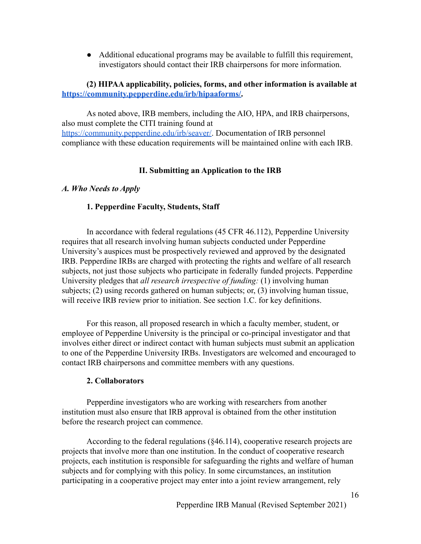● Additional educational programs may be available to fulfill this requirement, investigators should contact their IRB chairpersons for more information.

## **(2) HIPAA applicability, policies, forms, and other information is available at [https://community.pepperdine.edu/irb/hipaaforms/.](https://community.pepperdine.edu/irb/hipaaforms/)**

As noted above, IRB members, including the AIO, HPA, and IRB chairpersons, also must complete the CITI training found at [https://community.pepperdine.edu/irb/seaver/.](https://community.pepperdine.edu/irb/seaver/) Documentation of IRB personnel compliance with these education requirements will be maintained online with each IRB.

## **II. Submitting an Application to the IRB**

## <span id="page-15-2"></span><span id="page-15-1"></span><span id="page-15-0"></span>*A. Who Needs to Apply*

## **1. Pepperdine Faculty, Students, Staff**

In accordance with federal regulations (45 CFR 46.112), Pepperdine University requires that all research involving human subjects conducted under Pepperdine University's auspices must be prospectively reviewed and approved by the designated IRB. Pepperdine IRBs are charged with protecting the rights and welfare of all research subjects, not just those subjects who participate in federally funded projects. Pepperdine University pledges that *all research irrespective of funding:* (1) involving human subjects; (2) using records gathered on human subjects; or, (3) involving human tissue, will receive IRB review prior to initiation. See section 1.C. for key definitions.

For this reason, all proposed research in which a faculty member, student, or employee of Pepperdine University is the principal or co-principal investigator and that involves either direct or indirect contact with human subjects must submit an application to one of the Pepperdine University IRBs. Investigators are welcomed and encouraged to contact IRB chairpersons and committee members with any questions.

#### <span id="page-15-3"></span>**2. Collaborators**

Pepperdine investigators who are working with researchers from another institution must also ensure that IRB approval is obtained from the other institution before the research project can commence.

According to the federal regulations (§46.114), cooperative research projects are projects that involve more than one institution. In the conduct of cooperative research projects, each institution is responsible for safeguarding the rights and welfare of human subjects and for complying with this policy. In some circumstances, an institution participating in a cooperative project may enter into a joint review arrangement, rely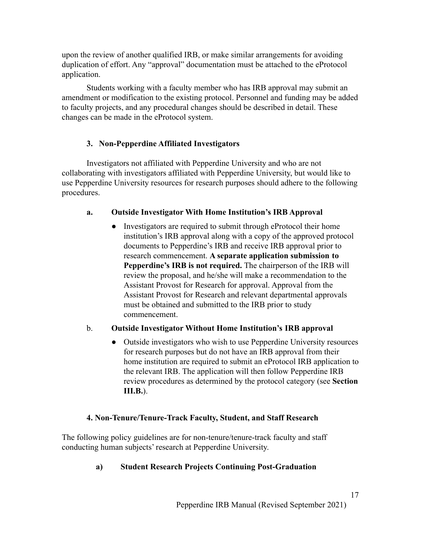upon the review of another qualified IRB, or make similar arrangements for avoiding duplication of effort. Any "approval" documentation must be attached to the eProtocol application.

Students working with a faculty member who has IRB approval may submit an amendment or modification to the existing protocol. Personnel and funding may be added to faculty projects, and any procedural changes should be described in detail. These changes can be made in the eProtocol system.

## **3. Non-Pepperdine Affiliated Investigators**

Investigators not affiliated with Pepperdine University and who are not collaborating with investigators affiliated with Pepperdine University, but would like to use Pepperdine University resources for research purposes should adhere to the following procedures.

## **a. Outside Investigator With Home Institution's IRB Approval**

• Investigators are required to submit through eProtocol their home institution's IRB approval along with a copy of the approved protocol documents to Pepperdine's IRB and receive IRB approval prior to research commencement. **A separate application submission to Pepperdine's IRB is not required.** The chairperson of the IRB will review the proposal, and he/she will make a recommendation to the Assistant Provost for Research for approval. Approval from the Assistant Provost for Research and relevant departmental approvals must be obtained and submitted to the IRB prior to study commencement.

## b. **Outside Investigator Without Home Institution's IRB approval**

• Outside investigators who wish to use Pepperdine University resources for research purposes but do not have an IRB approval from their home institution are required to submit an eProtocol IRB application to the relevant IRB. The application will then follow Pepperdine IRB review procedures as determined by the protocol category (see **Section III.B.**).

## **4. Non-Tenure/Tenure-Track Faculty, Student, and Staff Research**

The following policy guidelines are for non-tenure/tenure-track faculty and staff conducting human subjects' research at Pepperdine University.

## **a) Student Research Projects Continuing Post-Graduation**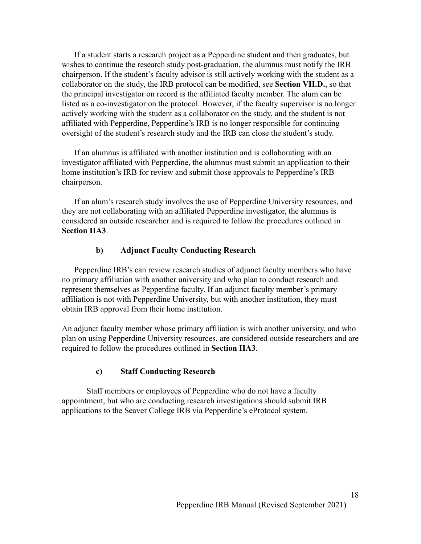If a student starts a research project as a Pepperdine student and then graduates, but wishes to continue the research study post-graduation, the alumnus must notify the IRB chairperson. If the student's faculty advisor is still actively working with the student as a collaborator on the study, the IRB protocol can be modified, see **Section VII.D.**, so that the principal investigator on record is the affiliated faculty member. The alum can be listed as a co-investigator on the protocol. However, if the faculty supervisor is no longer actively working with the student as a collaborator on the study, and the student is not affiliated with Pepperdine, Pepperdine's IRB is no longer responsible for continuing oversight of the student's research study and the IRB can close the student's study.

If an alumnus is affiliated with another institution and is collaborating with an investigator affiliated with Pepperdine, the alumnus must submit an application to their home institution's IRB for review and submit those approvals to Pepperdine's IRB chairperson.

If an alum's research study involves the use of Pepperdine University resources, and they are not collaborating with an affiliated Pepperdine investigator, the alumnus is considered an outside researcher and is required to follow the procedures outlined in **Section IIA3**.

#### **b) Adjunct Faculty Conducting Research**

Pepperdine IRB's can review research studies of adjunct faculty members who have no primary affiliation with another university and who plan to conduct research and represent themselves as Pepperdine faculty. If an adjunct faculty member's primary affiliation is not with Pepperdine University, but with another institution, they must obtain IRB approval from their home institution.

An adjunct faculty member whose primary affiliation is with another university, and who plan on using Pepperdine University resources, are considered outside researchers and are required to follow the procedures outlined in **Section IIA3**.

#### **c) Staff Conducting Research**

Staff members or employees of Pepperdine who do not have a faculty appointment, but who are conducting research investigations should submit IRB applications to the Seaver College IRB via Pepperdine's eProtocol system.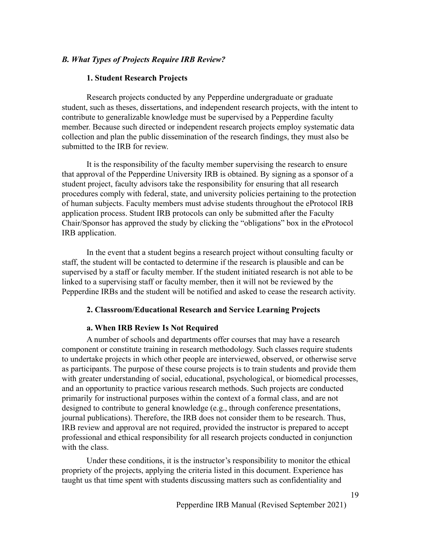## <span id="page-18-1"></span><span id="page-18-0"></span>*B. What Types of Projects Require IRB Review?*

#### **1. Student Research Projects**

Research projects conducted by any Pepperdine undergraduate or graduate student, such as theses, dissertations, and independent research projects, with the intent to contribute to generalizable knowledge must be supervised by a Pepperdine faculty member. Because such directed or independent research projects employ systematic data collection and plan the public dissemination of the research findings, they must also be submitted to the IRB for review.

It is the responsibility of the faculty member supervising the research to ensure that approval of the Pepperdine University IRB is obtained. By signing as a sponsor of a student project, faculty advisors take the responsibility for ensuring that all research procedures comply with federal, state, and university policies pertaining to the protection of human subjects. Faculty members must advise students throughout the eProtocol IRB application process. Student IRB protocols can only be submitted after the Faculty Chair/Sponsor has approved the study by clicking the "obligations" box in the eProtocol IRB application.

In the event that a student begins a research project without consulting faculty or staff, the student will be contacted to determine if the research is plausible and can be supervised by a staff or faculty member. If the student initiated research is not able to be linked to a supervising staff or faculty member, then it will not be reviewed by the Pepperdine IRBs and the student will be notified and asked to cease the research activity.

#### <span id="page-18-2"></span>**2. Classroom/Educational Research and Service Learning Projects**

#### **a. When IRB Review Is Not Required**

A number of schools and departments offer courses that may have a research component or constitute training in research methodology. Such classes require students to undertake projects in which other people are interviewed, observed, or otherwise serve as participants. The purpose of these course projects is to train students and provide them with greater understanding of social, educational, psychological, or biomedical processes, and an opportunity to practice various research methods. Such projects are conducted primarily for instructional purposes within the context of a formal class, and are not designed to contribute to general knowledge (e.g., through conference presentations, journal publications). Therefore, the IRB does not consider them to be research. Thus, IRB review and approval are not required, provided the instructor is prepared to accept professional and ethical responsibility for all research projects conducted in conjunction with the class.

Under these conditions, it is the instructor's responsibility to monitor the ethical propriety of the projects, applying the criteria listed in this document. Experience has taught us that time spent with students discussing matters such as confidentiality and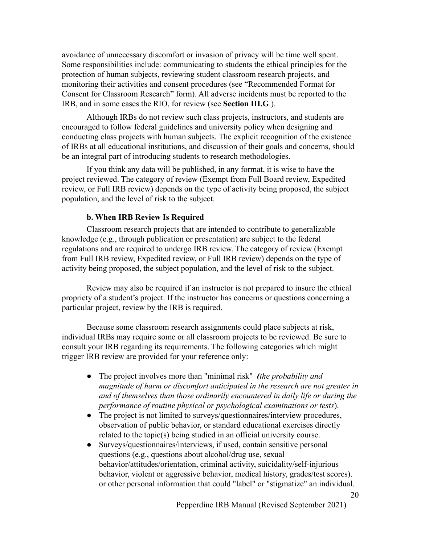avoidance of unnecessary discomfort or invasion of privacy will be time well spent. Some responsibilities include: communicating to students the ethical principles for the protection of human subjects, reviewing student classroom research projects, and monitoring their activities and consent procedures (see "Recommended Format for Consent for Classroom Research" form). All adverse incidents must be reported to the IRB, and in some cases the RIO, for review (see **Section III.G**.).

Although IRBs do not review such class projects, instructors, and students are encouraged to follow federal guidelines and university policy when designing and conducting class projects with human subjects. The explicit recognition of the existence of IRBs at all educational institutions, and discussion of their goals and concerns, should be an integral part of introducing students to research methodologies.

If you think any data will be published, in any format, it is wise to have the project reviewed. The category of review (Exempt from Full Board review, Expedited review, or Full IRB review) depends on the type of activity being proposed, the subject population, and the level of risk to the subject.

#### **b. When IRB Review Is Required**

Classroom research projects that are intended to contribute to generalizable knowledge (e.g., through publication or presentation) are subject to the federal regulations and are required to undergo IRB review. The category of review (Exempt from Full IRB review, Expedited review, or Full IRB review) depends on the type of activity being proposed, the subject population, and the level of risk to the subject.

Review may also be required if an instructor is not prepared to insure the ethical propriety of a student's project. If the instructor has concerns or questions concerning a particular project, review by the IRB is required.

Because some classroom research assignments could place subjects at risk, individual IRBs may require some or all classroom projects to be reviewed. Be sure to consult your IRB regarding its requirements. The following categories which might trigger IRB review are provided for your reference only:

- The project involves more than "minimal risk" *(the probability and magnitude of harm or discomfort anticipated in the research are not greater in and of themselves than those ordinarily encountered in daily life or during the performance of routine physical or psychological examinations or tests*).
- The project is not limited to surveys/questionnaires/interview procedures, observation of public behavior, or standard educational exercises directly related to the topic(s) being studied in an official university course.
- Surveys/questionnaires/interviews, if used, contain sensitive personal questions (e.g., questions about alcohol/drug use, sexual behavior/attitudes/orientation, criminal activity, suicidality/self-injurious behavior, violent or aggressive behavior, medical history, grades/test scores). or other personal information that could "label" or "stigmatize" an individual.

Pepperdine IRB Manual (Revised September 2021)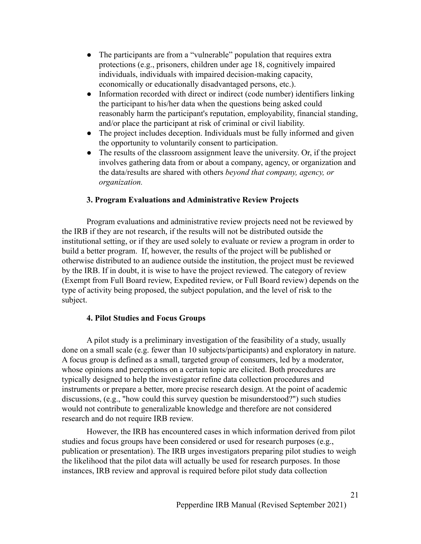- The participants are from a "vulnerable" population that requires extra protections (e.g., prisoners, children under age 18, cognitively impaired individuals, individuals with impaired decision-making capacity, economically or educationally disadvantaged persons, etc.).
- Information recorded with direct or indirect (code number) identifiers linking the participant to his/her data when the questions being asked could reasonably harm the participant's reputation, employability, financial standing, and/or place the participant at risk of criminal or civil liability.
- The project includes deception. Individuals must be fully informed and given the opportunity to voluntarily consent to participation.
- The results of the classroom assignment leave the university. Or, if the project involves gathering data from or about a company, agency, or organization and the data/results are shared with others *beyond that company, agency, or organization.*

## <span id="page-20-0"></span>**3. Program Evaluations and Administrative Review Projects**

Program evaluations and administrative review projects need not be reviewed by the IRB if they are not research, if the results will not be distributed outside the institutional setting, or if they are used solely to evaluate or review a program in order to build a better program. If, however, the results of the project will be published or otherwise distributed to an audience outside the institution, the project must be reviewed by the IRB. If in doubt, it is wise to have the project reviewed. The category of review (Exempt from Full Board review, Expedited review, or Full Board review) depends on the type of activity being proposed, the subject population, and the level of risk to the subject.

## <span id="page-20-1"></span>**4. Pilot Studies and Focus Groups**

A pilot study is a preliminary investigation of the feasibility of a study, usually done on a small scale (e.g. fewer than 10 subjects/participants) and exploratory in nature. A focus group is defined as a small, targeted group of consumers, led by a moderator, whose opinions and perceptions on a certain topic are elicited. Both procedures are typically designed to help the investigator refine data collection procedures and instruments or prepare a better, more precise research design. At the point of academic discussions, (e.g., "how could this survey question be misunderstood?") such studies would not contribute to generalizable knowledge and therefore are not considered research and do not require IRB review.

However, the IRB has encountered cases in which information derived from pilot studies and focus groups have been considered or used for research purposes (e.g., publication or presentation). The IRB urges investigators preparing pilot studies to weigh the likelihood that the pilot data will actually be used for research purposes. In those instances, IRB review and approval is required before pilot study data collection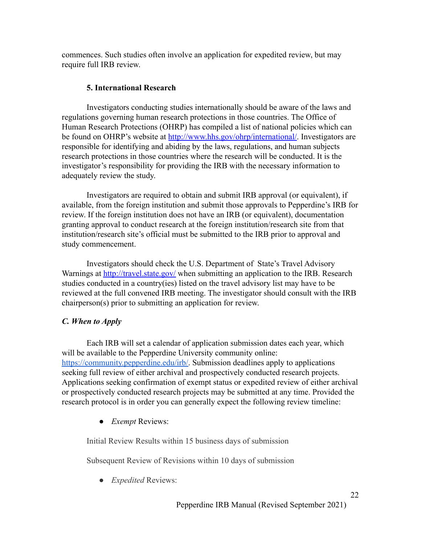commences. Such studies often involve an application for expedited review, but may require full IRB review.

#### **5. International Research**

Investigators conducting studies internationally should be aware of the laws and regulations governing human research protections in those countries. The Office of Human Research Protections (OHRP) has compiled a list of national policies which can be found on OHRP's website at [http://www.hhs.gov/ohrp/international/.](http://www.hhs.gov/ohrp/international/) Investigators are responsible for identifying and abiding by the laws, regulations, and human subjects research protections in those countries where the research will be conducted. It is the investigator's responsibility for providing the IRB with the necessary information to adequately review the study.

Investigators are required to obtain and submit IRB approval (or equivalent), if available, from the foreign institution and submit those approvals to Pepperdine's IRB for review. If the foreign institution does not have an IRB (or equivalent), documentation granting approval to conduct research at the foreign institution/research site from that institution/research site's official must be submitted to the IRB prior to approval and study commencement.

Investigators should check the U.S. Department of State's Travel Advisory Warnings at <http://travel.state.gov/> when submitting an application to the IRB. Research studies conducted in a country(ies) listed on the travel advisory list may have to be reviewed at the full convened IRB meeting. The investigator should consult with the IRB chairperson(s) prior to submitting an application for review.

## *C. When to Apply*

Each IRB will set a calendar of application submission dates each year, which will be available to the Pepperdine University community online: [https://community.pepperdine.edu/irb/.](https://community.pepperdine.edu/irb/) Submission deadlines apply to applications seeking full review of either archival and prospectively conducted research projects. Applications seeking confirmation of exempt status or expedited review of either archival or prospectively conducted research projects may be submitted at any time. Provided the research protocol is in order you can generally expect the following review timeline:

● *Exempt* Reviews:

Initial Review Results within 15 business days of submission

Subsequent Review of Revisions within 10 days of submission

● *Expedited* Reviews: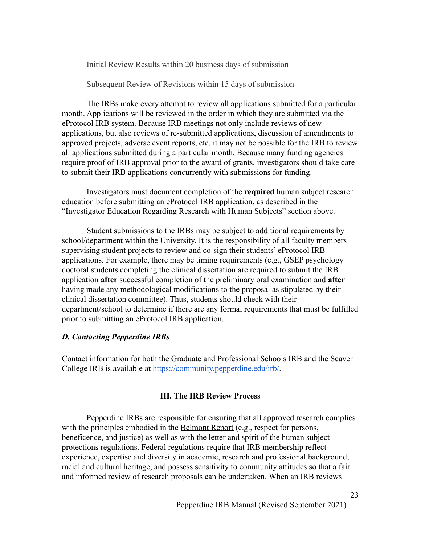Initial Review Results within 20 business days of submission

Subsequent Review of Revisions within 15 days of submission

The IRBs make every attempt to review all applications submitted for a particular month. Applications will be reviewed in the order in which they are submitted via the eProtocol IRB system. Because IRB meetings not only include reviews of new applications, but also reviews of re-submitted applications, discussion of amendments to approved projects, adverse event reports, etc. it may not be possible for the IRB to review all applications submitted during a particular month. Because many funding agencies require proof of IRB approval prior to the award of grants, investigators should take care to submit their IRB applications concurrently with submissions for funding.

Investigators must document completion of the **required** human subject research education before submitting an eProtocol IRB application, as described in the "Investigator Education Regarding Research with Human Subjects" section above.

Student submissions to the IRBs may be subject to additional requirements by school/department within the University. It is the responsibility of all faculty members supervising student projects to review and co-sign their students' eProtocol IRB applications. For example, there may be timing requirements (e.g., GSEP psychology doctoral students completing the clinical dissertation are required to submit the IRB application **after** successful completion of the preliminary oral examination and **after** having made any methodological modifications to the proposal as stipulated by their clinical dissertation committee). Thus, students should check with their department/school to determine if there are any formal requirements that must be fulfilled prior to submitting an eProtocol IRB application.

## <span id="page-22-0"></span>*D. Contacting Pepperdine IRBs*

<span id="page-22-1"></span>Contact information for both the Graduate and Professional Schools IRB and the Seaver College IRB is available at <https://community.pepperdine.edu/irb/>.

#### **III. The IRB Review Process**

Pepperdine IRBs are responsible for ensuring that all approved research complies with the principles embodied in the Belmont Report (e.g., respect for persons, beneficence, and justice) as well as with the letter and spirit of the human subject protections regulations. Federal regulations require that IRB membership reflect experience, expertise and diversity in academic, research and professional background, racial and cultural heritage, and possess sensitivity to community attitudes so that a fair and informed review of research proposals can be undertaken. When an IRB reviews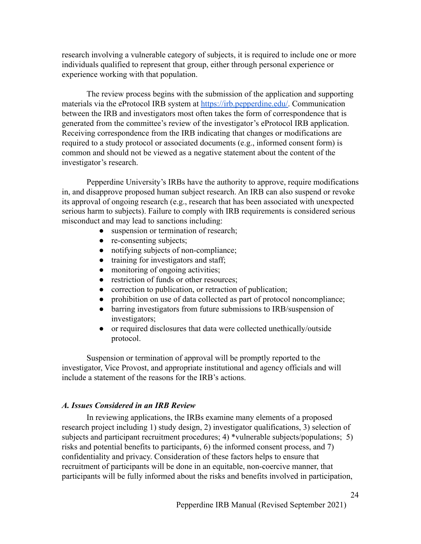research involving a vulnerable category of subjects, it is required to include one or more individuals qualified to represent that group, either through personal experience or experience working with that population.

The review process begins with the submission of the application and supporting materials via the eProtocol IRB system at [https://irb.pepperdine.edu/.](https://irb.pepperdine.edu/) Communication between the IRB and investigators most often takes the form of correspondence that is generated from the committee's review of the investigator's eProtocol IRB application. Receiving correspondence from the IRB indicating that changes or modifications are required to a study protocol or associated documents (e.g., informed consent form) is common and should not be viewed as a negative statement about the content of the investigator's research.

Pepperdine University's IRBs have the authority to approve, require modifications in, and disapprove proposed human subject research. An IRB can also suspend or revoke its approval of ongoing research (e.g., research that has been associated with unexpected serious harm to subjects). Failure to comply with IRB requirements is considered serious misconduct and may lead to sanctions including:

- suspension or termination of research;
- re-consenting subjects;
- notifying subjects of non-compliance;
- training for investigators and staff;
- monitoring of ongoing activities;
- restriction of funds or other resources;
- correction to publication, or retraction of publication;
- prohibition on use of data collected as part of protocol noncompliance;
- barring investigators from future submissions to IRB/suspension of investigators;
- or required disclosures that data were collected unethically/outside protocol.

Suspension or termination of approval will be promptly reported to the investigator, Vice Provost, and appropriate institutional and agency officials and will include a statement of the reasons for the IRB's actions.

#### <span id="page-23-0"></span>*A. Issues Considered in an IRB Review*

In reviewing applications, the IRBs examine many elements of a proposed research project including 1) study design, 2) investigator qualifications, 3) selection of subjects and participant recruitment procedures; 4) \*vulnerable subjects/populations; 5) risks and potential benefits to participants, 6) the informed consent process, and 7) confidentiality and privacy. Consideration of these factors helps to ensure that recruitment of participants will be done in an equitable, non-coercive manner, that participants will be fully informed about the risks and benefits involved in participation,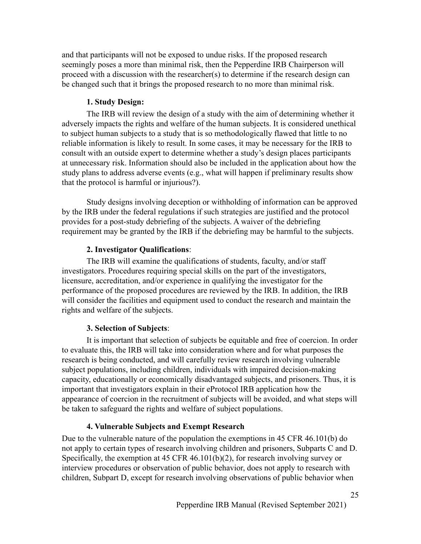and that participants will not be exposed to undue risks. If the proposed research seemingly poses a more than minimal risk, then the Pepperdine IRB Chairperson will proceed with a discussion with the researcher(s) to determine if the research design can be changed such that it brings the proposed research to no more than minimal risk.

## **1. Study Design:**

<span id="page-24-0"></span>The IRB will review the design of a study with the aim of determining whether it adversely impacts the rights and welfare of the human subjects. It is considered unethical to subject human subjects to a study that is so methodologically flawed that little to no reliable information is likely to result. In some cases, it may be necessary for the IRB to consult with an outside expert to determine whether a study's design places participants at unnecessary risk. Information should also be included in the application about how the study plans to address adverse events (e.g., what will happen if preliminary results show that the protocol is harmful or injurious?).

Study designs involving deception or withholding of information can be approved by the IRB under the federal regulations if such strategies are justified and the protocol provides for a post-study debriefing of the subjects. A waiver of the debriefing requirement may be granted by the IRB if the debriefing may be harmful to the subjects.

## **2. Investigator Qualifications**:

<span id="page-24-1"></span>The IRB will examine the qualifications of students, faculty, and/or staff investigators. Procedures requiring special skills on the part of the investigators, licensure, accreditation, and/or experience in qualifying the investigator for the performance of the proposed procedures are reviewed by the IRB. In addition, the IRB will consider the facilities and equipment used to conduct the research and maintain the rights and welfare of the subjects.

## **3. Selection of Subjects**:

<span id="page-24-2"></span>It is important that selection of subjects be equitable and free of coercion. In order to evaluate this, the IRB will take into consideration where and for what purposes the research is being conducted, and will carefully review research involving vulnerable subject populations, including children, individuals with impaired decision-making capacity, educationally or economically disadvantaged subjects, and prisoners. Thus, it is important that investigators explain in their eProtocol IRB application how the appearance of coercion in the recruitment of subjects will be avoided, and what steps will be taken to safeguard the rights and welfare of subject populations.

## **4. Vulnerable Subjects and Exempt Research**

<span id="page-24-3"></span>Due to the vulnerable nature of the population the exemptions in 45 CFR 46.101(b) do not apply to certain types of research involving children and prisoners, Subparts C and D. Specifically, the exemption at 45 CFR 46.101(b)(2), for research involving survey or interview procedures or observation of public behavior, does not apply to research with children, Subpart D, except for research involving observations of public behavior when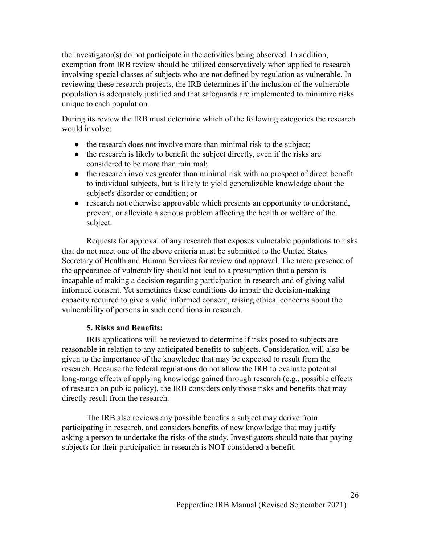the investigator(s) do not participate in the activities being observed. In addition, exemption from IRB review should be utilized conservatively when applied to research involving special classes of subjects who are not defined by regulation as vulnerable. In reviewing these research projects, the IRB determines if the inclusion of the vulnerable population is adequately justified and that safeguards are implemented to minimize risks unique to each population.

During its review the IRB must determine which of the following categories the research would involve:

- the research does not involve more than minimal risk to the subject;
- the research is likely to benefit the subject directly, even if the risks are considered to be more than minimal;
- the research involves greater than minimal risk with no prospect of direct benefit to individual subjects, but is likely to yield generalizable knowledge about the subject's disorder or condition; or
- research not otherwise approvable which presents an opportunity to understand, prevent, or alleviate a serious problem affecting the health or welfare of the subject.

Requests for approval of any research that exposes vulnerable populations to risks that do not meet one of the above criteria must be submitted to the United States Secretary of Health and Human Services for review and approval. The mere presence of the appearance of vulnerability should not lead to a presumption that a person is incapable of making a decision regarding participation in research and of giving valid informed consent. Yet sometimes these conditions do impair the decision-making capacity required to give a valid informed consent, raising ethical concerns about the vulnerability of persons in such conditions in research.

# **5. Risks and Benefits:**

IRB applications will be reviewed to determine if risks posed to subjects are reasonable in relation to any anticipated benefits to subjects. Consideration will also be given to the importance of the knowledge that may be expected to result from the research. Because the federal regulations do not allow the IRB to evaluate potential long-range effects of applying knowledge gained through research (e.g., possible effects of research on public policy), the IRB considers only those risks and benefits that may directly result from the research.

The IRB also reviews any possible benefits a subject may derive from participating in research, and considers benefits of new knowledge that may justify asking a person to undertake the risks of the study. Investigators should note that paying subjects for their participation in research is NOT considered a benefit.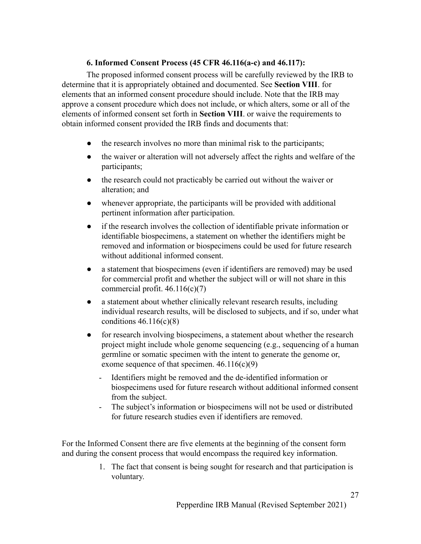## **6. Informed Consent Process (45 CFR 46.116(a-c) and 46.117):**

<span id="page-26-0"></span>The proposed informed consent process will be carefully reviewed by the IRB to determine that it is appropriately obtained and documented. See **Section VIII**. for elements that an informed consent procedure should include. Note that the IRB may approve a consent procedure which does not include, or which alters, some or all of the elements of informed consent set forth in **Section VIII**. or waive the requirements to obtain informed consent provided the IRB finds and documents that:

- the research involves no more than minimal risk to the participants;
- the waiver or alteration will not adversely affect the rights and welfare of the participants;
- the research could not practicably be carried out without the waiver or alteration; and
- whenever appropriate, the participants will be provided with additional pertinent information after participation.
- if the research involves the collection of identifiable private information or identifiable biospecimens, a statement on whether the identifiers might be removed and information or biospecimens could be used for future research without additional informed consent.
- a statement that biospecimens (even if identifiers are removed) may be used for commercial profit and whether the subject will or will not share in this commercial profit.  $46.116(c)(7)$
- a statement about whether clinically relevant research results, including individual research results, will be disclosed to subjects, and if so, under what conditions  $46.116(c)(8)$
- for research involving biospecimens, a statement about whether the research project might include whole genome sequencing (e.g., sequencing of a human germline or somatic specimen with the intent to generate the genome or, exome sequence of that specimen.  $46.116(c)(9)$ 
	- Identifiers might be removed and the de-identified information or biospecimens used for future research without additional informed consent from the subject.
	- The subject's information or biospecimens will not be used or distributed for future research studies even if identifiers are removed.

For the Informed Consent there are five elements at the beginning of the consent form and during the consent process that would encompass the required key information.

> 1. The fact that consent is being sought for research and that participation is voluntary.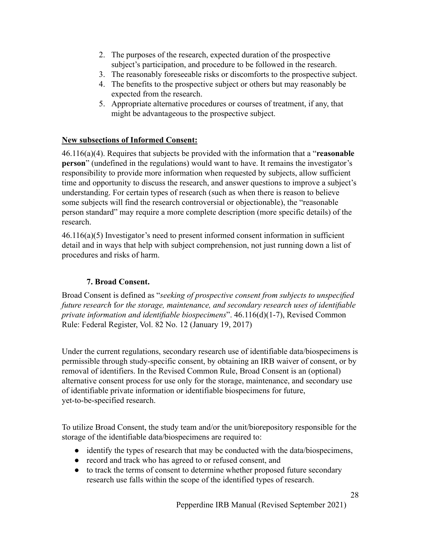- 2. The purposes of the research, expected duration of the prospective subject's participation, and procedure to be followed in the research.
- 3. The reasonably foreseeable risks or discomforts to the prospective subject.
- 4. The benefits to the prospective subject or others but may reasonably be expected from the research.
- 5. Appropriate alternative procedures or courses of treatment, if any, that might be advantageous to the prospective subject.

## **New subsections of Informed Consent:**

46.116(a)(4). Requires that subjects be provided with the information that a "**reasonable person**" (undefined in the regulations) would want to have. It remains the investigator's responsibility to provide more information when requested by subjects, allow sufficient time and opportunity to discuss the research, and answer questions to improve a subject's understanding. For certain types of research (such as when there is reason to believe some subjects will find the research controversial or objectionable), the "reasonable person standard" may require a more complete description (more specific details) of the research.

46.116(a)(5) Investigator's need to present informed consent information in sufficient detail and in ways that help with subject comprehension, not just running down a list of procedures and risks of harm.

## **7. Broad Consent.**

Broad Consent is defined as "*seeking of prospective consent from subjects to unspecified future research* f*or the storage, maintenance, and secondary research uses of identifiable private information and identifiable biospecimens*". 46.116(d)(1-7), Revised Common Rule: Federal Register, Vol. 82 No. 12 (January 19, 2017)

Under the current regulations, secondary research use of identifiable data/biospecimens is permissible through study-specific consent, by obtaining an IRB waiver of consent, or by removal of identifiers. In the Revised Common Rule, Broad Consent is an (optional) alternative consent process for use only for the storage, maintenance, and secondary use of identifiable private information or identifiable biospecimens for future, yet-to-be-specified research.

To utilize Broad Consent, the study team and/or the unit/biorepository responsible for the storage of the identifiable data/biospecimens are required to:

- identify the types of research that may be conducted with the data/biospecimens,
- record and track who has agreed to or refused consent, and
- to track the terms of consent to determine whether proposed future secondary research use falls within the scope of the identified types of research.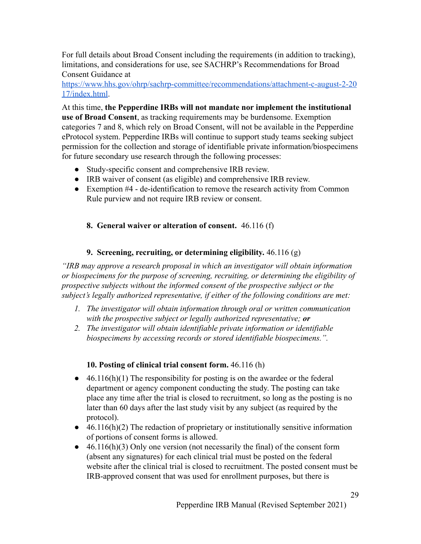For full details about Broad Consent including the requirements (in addition to tracking), limitations, and considerations for use, see SACHRP's Recommendations for Broad Consent Guidance at

[https://www.hhs.gov/ohrp/sachrp-committee/recommendations/attachment-c-august-2-20](https://www.hhs.gov/ohrp/sachrp-committee/recommendations/attachment-c-august-2-2017/index.html) [17/index.html.](https://www.hhs.gov/ohrp/sachrp-committee/recommendations/attachment-c-august-2-2017/index.html)

At this time, **the Pepperdine IRBs will not mandate nor implement the institutional use of Broad Consent**, as tracking requirements may be burdensome. Exemption categories 7 and 8, which rely on Broad Consent, will not be available in the Pepperdine eProtocol system. Pepperdine IRBs will continue to support study teams seeking subject permission for the collection and storage of identifiable private information/biospecimens for future secondary use research through the following processes:

- Study-specific consent and comprehensive IRB review.
- IRB waiver of consent (as eligible) and comprehensive IRB review.
- Exemption #4 de-identification to remove the research activity from Common Rule purview and not require IRB review or consent.

# **8. General waiver or alteration of consent.** 46.116 (f)

## **9. Screening, recruiting, or determining eligibility.** 46.116 (g)

*"IRB may approve a research proposal in which an investigator will obtain information or biospecimens for the purpose of screening, recruiting, or determining the eligibility of prospective subjects without the informed consent of the prospective subject or the subject's legally authorized representative, if either of the following conditions are met:*

- *1. The investigator will obtain information through oral or written communication with the prospective subject or legally authorized representative; or*
- *2. The investigator will obtain identifiable private information or identifiable biospecimens by accessing records or stored identifiable biospecimens.".*

## **10. Posting of clinical trial consent form.** 46.116 (h)

- $\bullet$  46.116(h)(1) The responsibility for posting is on the awardee or the federal department or agency component conducting the study. The posting can take place any time after the trial is closed to recruitment, so long as the posting is no later than 60 days after the last study visit by any subject (as required by the protocol).
- $\bullet$  46.116(h)(2) The redaction of proprietary or institutionally sensitive information of portions of consent forms is allowed.
- 46.116(h)(3) Only one version (not necessarily the final) of the consent form (absent any signatures) for each clinical trial must be posted on the federal website after the clinical trial is closed to recruitment. The posted consent must be IRB-approved consent that was used for enrollment purposes, but there is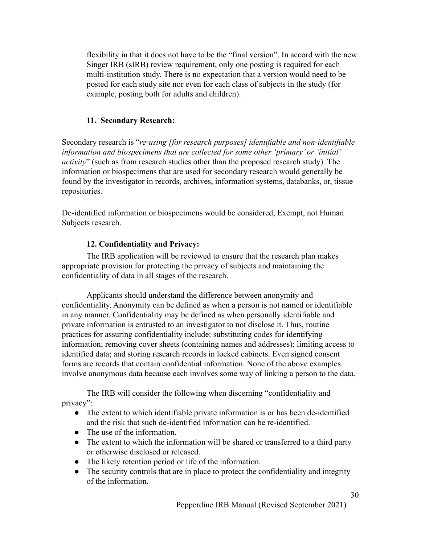flexibility in that it does not have to be the "final version". In accord with the new Singer IRB (sIRB) review requirement, only one posting is required for each multi-institution study. There is no expectation that a version would need to be posted for each study site nor even for each class of subjects in the study (for example, posting both for adults and children).

## **11. Secondary Research:**

Secondary research is "*re-using [for research purposes] identifiable and non-identifiable information and biospecimens that are collected for some other 'primary' or 'initial' activity*" (such as from research studies other than the proposed research study). The information or biospecimens that are used for secondary research would generally be found by the investigator in records, archives, information systems, databanks, or, tissue repositories.

De-identified information or biospecimens would be considered, Exempt, not Human Subjects research.

## **12. Confidentiality and Privacy:**

<span id="page-29-0"></span>The IRB application will be reviewed to ensure that the research plan makes appropriate provision for protecting the privacy of subjects and maintaining the confidentiality of data in all stages of the research.

Applicants should understand the difference between anonymity and confidentiality. Anonymity can be defined as when a person is not named or identifiable in any manner. Confidentiality may be defined as when personally identifiable and private information is entrusted to an investigator to not disclose it. Thus, routine practices for assuring confidentiality include: substituting codes for identifying information; removing cover sheets (containing names and addresses); limiting access to identified data; and storing research records in locked cabinets. Even signed consent forms are records that contain confidential information. None of the above examples involve anonymous data because each involves some way of linking a person to the data.

The IRB will consider the following when discerning "confidentiality and privacy":

- The extent to which identifiable private information is or has been de-identified and the risk that such de-identified information can be re-identified.
- The use of the information.
- The extent to which the information will be shared or transferred to a third party or otherwise disclosed or released.
- The likely retention period or life of the information.
- The security controls that are in place to protect the confidentiality and integrity of the information.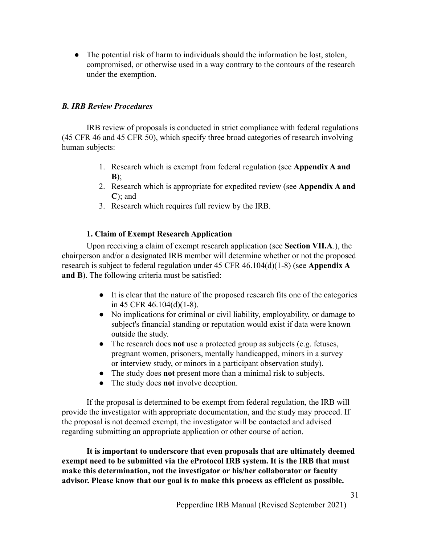• The potential risk of harm to individuals should the information be lost, stolen, compromised, or otherwise used in a way contrary to the contours of the research under the exemption.

## <span id="page-30-0"></span>*B. IRB Review Procedures*

IRB review of proposals is conducted in strict compliance with federal regulations (45 CFR 46 and 45 CFR 50), which specify three broad categories of research involving human subjects:

- 1. Research which is exempt from federal regulation (see **Appendix A and B**);
- 2. Research which is appropriate for expedited review (see **Appendix A and C**); and
- 3. Research which requires full review by the IRB.

# **1. Claim of Exempt Research Application**

<span id="page-30-1"></span>Upon receiving a claim of exempt research application (see **Section VII.A**.), the chairperson and/or a designated IRB member will determine whether or not the proposed research is subject to federal regulation under 45 CFR 46.104(d)(1-8) (see **Appendix A and B**). The following criteria must be satisfied:

- It is clear that the nature of the proposed research fits one of the categories in 45 CFR 46.104(d)(1-8).
- No implications for criminal or civil liability, employability, or damage to subject's financial standing or reputation would exist if data were known outside the study.
- The research does **not** use a protected group as subjects (e.g. fetuses, pregnant women, prisoners, mentally handicapped, minors in a survey or interview study, or minors in a participant observation study).
- The study does **not** present more than a minimal risk to subjects.
- The study does **not** involve deception.

If the proposal is determined to be exempt from federal regulation, the IRB will provide the investigator with appropriate documentation, and the study may proceed. If the proposal is not deemed exempt, the investigator will be contacted and advised regarding submitting an appropriate application or other course of action.

**It is important to underscore that even proposals that are ultimately deemed exempt need to be submitted via the eProtocol IRB system. It is the IRB that must make this determination, not the investigator or his/her collaborator or faculty advisor. Please know that our goal is to make this process as efficient as possible.**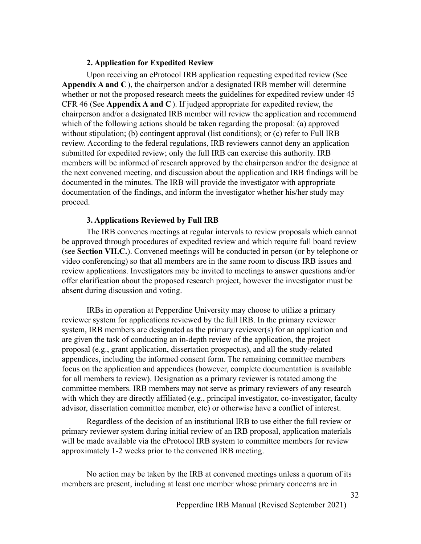#### **2. Application for Expedited Review**

<span id="page-31-0"></span>Upon receiving an eProtocol IRB application requesting expedited review (See **Appendix A and C**), the chairperson and/or a designated IRB member will determine whether or not the proposed research meets the guidelines for expedited review under 45 CFR 46 (See **Appendix A and C**). If judged appropriate for expedited review, the chairperson and/or a designated IRB member will review the application and recommend which of the following actions should be taken regarding the proposal: (a) approved without stipulation; (b) contingent approval (list conditions); or (c) refer to Full IRB review. According to the federal regulations, IRB reviewers cannot deny an application submitted for expedited review; only the full IRB can exercise this authority. IRB members will be informed of research approved by the chairperson and/or the designee at the next convened meeting, and discussion about the application and IRB findings will be documented in the minutes. The IRB will provide the investigator with appropriate documentation of the findings, and inform the investigator whether his/her study may proceed.

#### **3. Applications Reviewed by Full IRB**

<span id="page-31-1"></span>The IRB convenes meetings at regular intervals to review proposals which cannot be approved through procedures of expedited review and which require full board review (see **Section VII.C.**). Convened meetings will be conducted in person (or by telephone or video conferencing) so that all members are in the same room to discuss IRB issues and review applications. Investigators may be invited to meetings to answer questions and/or offer clarification about the proposed research project, however the investigator must be absent during discussion and voting.

IRBs in operation at Pepperdine University may choose to utilize a primary reviewer system for applications reviewed by the full IRB. In the primary reviewer system, IRB members are designated as the primary reviewer(s) for an application and are given the task of conducting an in-depth review of the application, the project proposal (e.g., grant application, dissertation prospectus), and all the study-related appendices, including the informed consent form. The remaining committee members focus on the application and appendices (however, complete documentation is available for all members to review). Designation as a primary reviewer is rotated among the committee members. IRB members may not serve as primary reviewers of any research with which they are directly affiliated (e.g., principal investigator, co-investigator, faculty advisor, dissertation committee member, etc) or otherwise have a conflict of interest.

Regardless of the decision of an institutional IRB to use either the full review or primary reviewer system during initial review of an IRB proposal, application materials will be made available via the eProtocol IRB system to committee members for review approximately 1-2 weeks prior to the convened IRB meeting.

No action may be taken by the IRB at convened meetings unless a quorum of its members are present, including at least one member whose primary concerns are in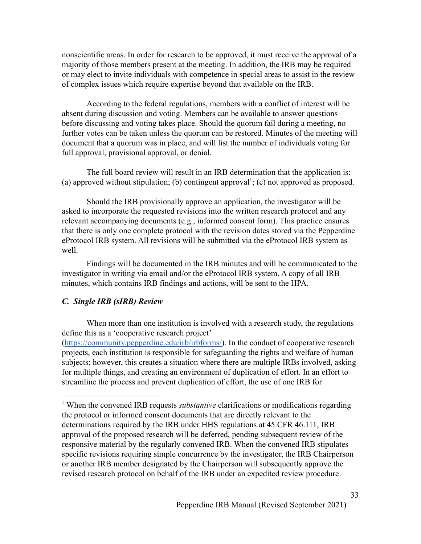nonscientific areas. In order for research to be approved, it must receive the approval of a majority of those members present at the meeting. In addition, the IRB may be required or may elect to invite individuals with competence in special areas to assist in the review of complex issues which require expertise beyond that available on the IRB.

According to the federal regulations, members with a conflict of interest will be absent during discussion and voting. Members can be available to answer questions before discussing and voting takes place. Should the quorum fail during a meeting, no further votes can be taken unless the quorum can be restored. Minutes of the meeting will document that a quorum was in place, and will list the number of individuals voting for full approval, provisional approval, or denial.

The full board review will result in an IRB determination that the application is: (a) approved without stipulation; (b) contingent approval<sup>1</sup>; (c) not approved as proposed.

Should the IRB provisionally approve an application, the investigator will be asked to incorporate the requested revisions into the written research protocol and any relevant accompanying documents (e.g., informed consent form). This practice ensures that there is only one complete protocol with the revision dates stored via the Pepperdine eProtocol IRB system. All revisions will be submitted via the eProtocol IRB system as well.

Findings will be documented in the IRB minutes and will be communicated to the investigator in writing via email and/or the eProtocol IRB system. A copy of all IRB minutes, which contains IRB findings and actions, will be sent to the HPA.

## *C. Single IRB (sIRB) Review*

When more than one institution is involved with a research study, the regulations define this as a 'cooperative research project'

([https://community.pepperdine.edu/irb/irbforms/\)](https://community.pepperdine.edu/irb/irbforms/). In the conduct of cooperative research projects, each institution is responsible for safeguarding the rights and welfare of human subjects; however, this creates a situation where there are multiple IRBs involved, asking for multiple things, and creating an environment of duplication of effort. In an effort to streamline the process and prevent duplication of effort, the use of one IRB for

<sup>&</sup>lt;sup>1</sup> When the convened IRB requests *substantive* clarifications or modifications regarding the protocol or informed consent documents that are directly relevant to the determinations required by the IRB under HHS regulations at 45 CFR 46.111, IRB approval of the proposed research will be deferred, pending subsequent review of the responsive material by the regularly convened IRB. When the convened IRB stipulates specific revisions requiring simple concurrence by the investigator, the IRB Chairperson or another IRB member designated by the Chairperson will subsequently approve the revised research protocol on behalf of the IRB under an expedited review procedure.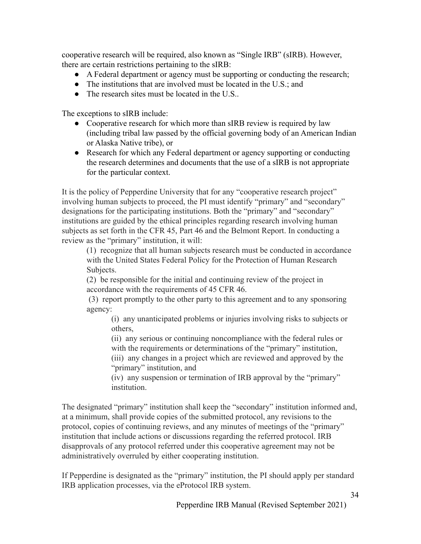cooperative research will be required, also known as "Single IRB" (sIRB). However, there are certain restrictions pertaining to the sIRB:

- A Federal department or agency must be supporting or conducting the research;
- The institutions that are involved must be located in the U.S.; and
- The research sites must be located in the U.S..

The exceptions to sIRB include:

- Cooperative research for which more than sIRB review is required by law (including tribal law passed by the official governing body of an American Indian or Alaska Native tribe), or
- Research for which any Federal department or agency supporting or conducting the research determines and documents that the use of a sIRB is not appropriate for the particular context.

It is the policy of Pepperdine University that for any "cooperative research project" involving human subjects to proceed, the PI must identify "primary" and "secondary" designations for the participating institutions. Both the "primary" and "secondary" institutions are guided by the ethical principles regarding research involving human subjects as set forth in the CFR 45, Part 46 and the Belmont Report. In conducting a review as the "primary" institution, it will:

(1) recognize that all human subjects research must be conducted in accordance with the United States Federal Policy for the Protection of Human Research Subjects.

(2) be responsible for the initial and continuing review of the project in accordance with the requirements of 45 CFR 46.

(3) report promptly to the other party to this agreement and to any sponsoring agency:

(i) any unanticipated problems or injuries involving risks to subjects or others,

(ii) any serious or continuing noncompliance with the federal rules or with the requirements or determinations of the "primary" institution,

(iii) any changes in a project which are reviewed and approved by the "primary" institution, and

(iv) any suspension or termination of IRB approval by the "primary" institution.

The designated "primary" institution shall keep the "secondary" institution informed and, at a minimum, shall provide copies of the submitted protocol, any revisions to the protocol, copies of continuing reviews, and any minutes of meetings of the "primary" institution that include actions or discussions regarding the referred protocol. IRB disapprovals of any protocol referred under this cooperative agreement may not be administratively overruled by either cooperating institution.

If Pepperdine is designated as the "primary" institution, the PI should apply per standard IRB application processes, via the eProtocol IRB system.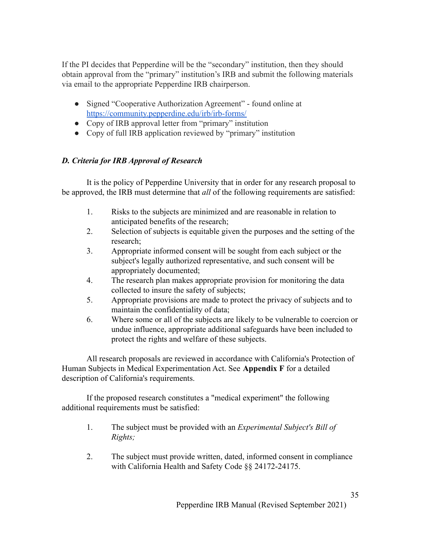If the PI decides that Pepperdine will be the "secondary" institution, then they should obtain approval from the "primary" institution's IRB and submit the following materials via email to the appropriate Pepperdine IRB chairperson.

- Signed "Cooperative Authorization Agreement" found online at <https://community.pepperdine.edu/irb/irb-forms/>
- Copy of IRB approval letter from "primary" institution
- Copy of full IRB application reviewed by "primary" institution

# <span id="page-34-0"></span>*D. Criteria for IRB Approval of Research*

It is the policy of Pepperdine University that in order for any research proposal to be approved, the IRB must determine that *all* of the following requirements are satisfied:

- 1. Risks to the subjects are minimized and are reasonable in relation to anticipated benefits of the research;
- 2. Selection of subjects is equitable given the purposes and the setting of the research;
- 3. Appropriate informed consent will be sought from each subject or the subject's legally authorized representative, and such consent will be appropriately documented;
- 4. The research plan makes appropriate provision for monitoring the data collected to insure the safety of subjects;
- 5. Appropriate provisions are made to protect the privacy of subjects and to maintain the confidentiality of data;
- 6. Where some or all of the subjects are likely to be vulnerable to coercion or undue influence, appropriate additional safeguards have been included to protect the rights and welfare of these subjects.

All research proposals are reviewed in accordance with California's Protection of Human Subjects in Medical Experimentation Act. See **Appendix F** for a detailed description of California's requirements.

If the proposed research constitutes a "medical experiment" the following additional requirements must be satisfied:

- 1. The subject must be provided with an *Experimental Subject's Bill of Rights;*
- 2. The subject must provide written, dated, informed consent in compliance with California Health and Safety Code §§ 24172-24175.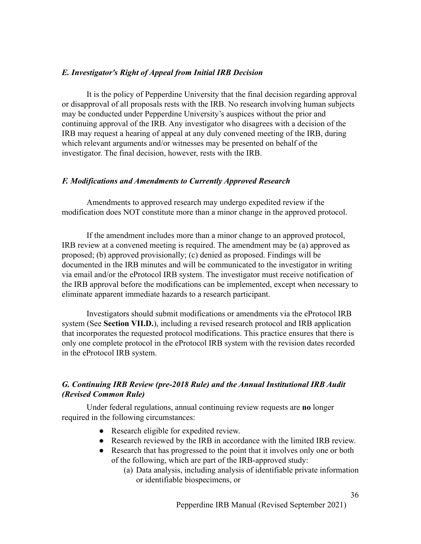#### <span id="page-35-0"></span>*E. Investigator's Right of Appeal from Initial IRB Decision*

It is the policy of Pepperdine University that the final decision regarding approval or disapproval of all proposals rests with the IRB. No research involving human subjects may be conducted under Pepperdine University's auspices without the prior and continuing approval of the IRB. Any investigator who disagrees with a decision of the IRB may request a hearing of appeal at any duly convened meeting of the IRB, during which relevant arguments and/or witnesses may be presented on behalf of the investigator. The final decision, however, rests with the IRB.

#### <span id="page-35-1"></span>*F. Modifications and Amendments to Currently Approved Research*

Amendments to approved research may undergo expedited review if the modification does NOT constitute more than a minor change in the approved protocol.

If the amendment includes more than a minor change to an approved protocol, IRB review at a convened meeting is required. The amendment may be (a) approved as proposed; (b) approved provisionally; (c) denied as proposed. Findings will be documented in the IRB minutes and will be communicated to the investigator in writing via email and/or the eProtocol IRB system. The investigator must receive notification of the IRB approval before the modifications can be implemented, except when necessary to eliminate apparent immediate hazards to a research participant.

Investigators should submit modifications or amendments via the eProtocol IRB system (See **Section VII.D.**), including a revised research protocol and IRB application that incorporates the requested protocol modifications. This practice ensures that there is only one complete protocol in the eProtocol IRB system with the revision dates recorded in the eProtocol IRB system.

## <span id="page-35-2"></span>*G. Continuing IRB Review (pre-2018 Rule) and the Annual Institutional IRB Audit (Revised Common Rule)*

Under federal regulations, annual continuing review requests are **no** longer required in the following circumstances:

- Research eligible for expedited review.
- Research reviewed by the IRB in accordance with the limited IRB review.
- Research that has progressed to the point that it involves only one or both of the following, which are part of the IRB-approved study:
	- (a) Data analysis, including analysis of identifiable private information or identifiable biospecimens, or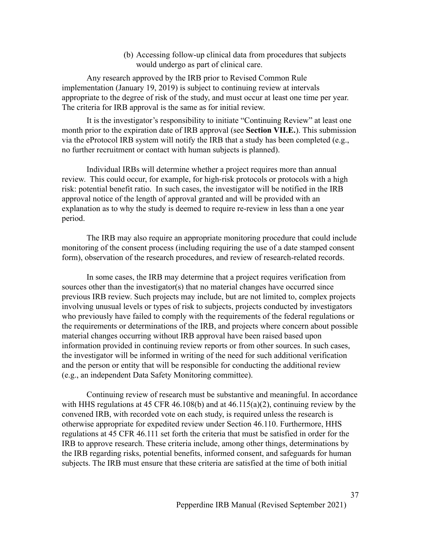(b) Accessing follow-up clinical data from procedures that subjects would undergo as part of clinical care.

Any research approved by the IRB prior to Revised Common Rule implementation (January 19, 2019) is subject to continuing review at intervals appropriate to the degree of risk of the study, and must occur at least one time per year. The criteria for IRB approval is the same as for initial review.

It is the investigator's responsibility to initiate "Continuing Review" at least one month prior to the expiration date of IRB approval (see **Section VII.E.**). This submission via the eProtocol IRB system will notify the IRB that a study has been completed (e.g., no further recruitment or contact with human subjects is planned).

Individual IRBs will determine whether a project requires more than annual review. This could occur, for example, for high-risk protocols or protocols with a high risk: potential benefit ratio. In such cases, the investigator will be notified in the IRB approval notice of the length of approval granted and will be provided with an explanation as to why the study is deemed to require re-review in less than a one year period.

The IRB may also require an appropriate monitoring procedure that could include monitoring of the consent process (including requiring the use of a date stamped consent form), observation of the research procedures, and review of research-related records.

In some cases, the IRB may determine that a project requires verification from sources other than the investigator(s) that no material changes have occurred since previous IRB review. Such projects may include, but are not limited to, complex projects involving unusual levels or types of risk to subjects, projects conducted by investigators who previously have failed to comply with the requirements of the federal regulations or the requirements or determinations of the IRB, and projects where concern about possible material changes occurring without IRB approval have been raised based upon information provided in continuing review reports or from other sources. In such cases, the investigator will be informed in writing of the need for such additional verification and the person or entity that will be responsible for conducting the additional review (e.g., an independent Data Safety Monitoring committee).

Continuing review of research must be substantive and meaningful. In accordance with HHS regulations at 45 CFR 46.108(b) and at  $46.115(a)(2)$ , continuing review by the convened IRB, with recorded vote on each study, is required unless the research is otherwise appropriate for expedited review under Section 46.110. Furthermore, HHS regulations at 45 CFR 46.111 set forth the criteria that must be satisfied in order for the IRB to approve research. These criteria include, among other things, determinations by the IRB regarding risks, potential benefits, informed consent, and safeguards for human subjects. The IRB must ensure that these criteria are satisfied at the time of both initial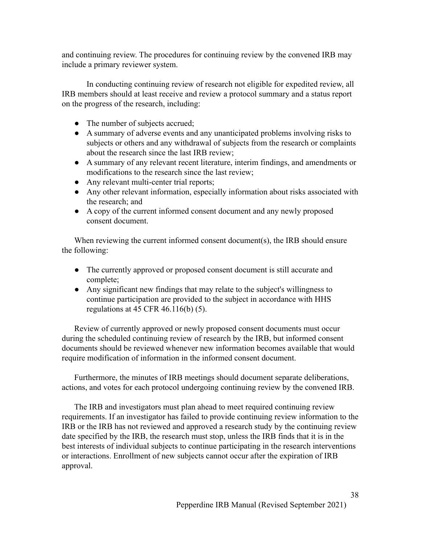and continuing review. The procedures for continuing review by the convened IRB may include a primary reviewer system.

In conducting continuing review of research not eligible for expedited review, all IRB members should at least receive and review a protocol summary and a status report on the progress of the research, including:

- The number of subjects accrued;
- A summary of adverse events and any unanticipated problems involving risks to subjects or others and any withdrawal of subjects from the research or complaints about the research since the last IRB review;
- A summary of any relevant recent literature, interim findings, and amendments or modifications to the research since the last review;
- Any relevant multi-center trial reports;
- Any other relevant information, especially information about risks associated with the research; and
- A copy of the current informed consent document and any newly proposed consent document.

When reviewing the current informed consent document(s), the IRB should ensure the following:

- The currently approved or proposed consent document is still accurate and complete;
- Any significant new findings that may relate to the subject's willingness to continue participation are provided to the subject in accordance with HHS regulations at 45 CFR 46.116(b) (5).

Review of currently approved or newly proposed consent documents must occur during the scheduled continuing review of research by the IRB, but informed consent documents should be reviewed whenever new information becomes available that would require modification of information in the informed consent document.

Furthermore, the minutes of IRB meetings should document separate deliberations, actions, and votes for each protocol undergoing continuing review by the convened IRB.

The IRB and investigators must plan ahead to meet required continuing review requirements. If an investigator has failed to provide continuing review information to the IRB or the IRB has not reviewed and approved a research study by the continuing review date specified by the IRB, the research must stop, unless the IRB finds that it is in the best interests of individual subjects to continue participating in the research interventions or interactions. Enrollment of new subjects cannot occur after the expiration of IRB approval.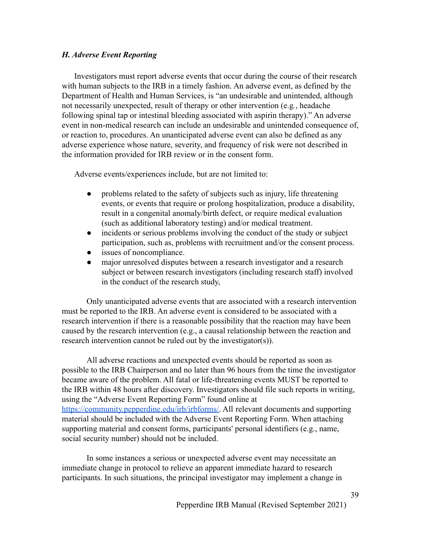#### *H. Adverse Event Reporting*

Investigators must report adverse events that occur during the course of their research with human subjects to the IRB in a timely fashion. An adverse event, as defined by the Department of Health and Human Services, is "an undesirable and unintended, although not necessarily unexpected, result of therapy or other intervention (e.g*.*, headache following spinal tap or intestinal bleeding associated with aspirin therapy)." An adverse event in non-medical research can include an undesirable and unintended consequence of, or reaction to, procedures. An unanticipated adverse event can also be defined as any adverse experience whose nature, severity, and frequency of risk were not described in the information provided for IRB review or in the consent form.

Adverse events/experiences include, but are not limited to:

- problems related to the safety of subjects such as injury, life threatening events, or events that require or prolong hospitalization, produce a disability, result in a congenital anomaly/birth defect, or require medical evaluation (such as additional laboratory testing) and/or medical treatment.
- incidents or serious problems involving the conduct of the study or subject participation, such as, problems with recruitment and/or the consent process.
- issues of noncompliance.
- major unresolved disputes between a research investigator and a research subject or between research investigators (including research staff) involved in the conduct of the research study,

Only unanticipated adverse events that are associated with a research intervention must be reported to the IRB. An adverse event is considered to be associated with a research intervention if there is a reasonable possibility that the reaction may have been caused by the research intervention (e.g., a causal relationship between the reaction and research intervention cannot be ruled out by the investigator(s)).

All adverse reactions and unexpected events should be reported as soon as possible to the IRB Chairperson and no later than 96 hours from the time the investigator became aware of the problem. All fatal or life-threatening events MUST be reported to the IRB within 48 hours after discovery. Investigators should file such reports in writing, using the "Adverse Event Reporting Form" found online at [https://community.pepperdine.edu/irb/irbforms/.](https://community.pepperdine.edu/irb/irbforms/) All relevant documents and supporting material should be included with the Adverse Event Reporting Form. When attaching supporting material and consent forms, participants' personal identifiers (e.g., name, social security number) should not be included.

In some instances a serious or unexpected adverse event may necessitate an immediate change in protocol to relieve an apparent immediate hazard to research participants. In such situations, the principal investigator may implement a change in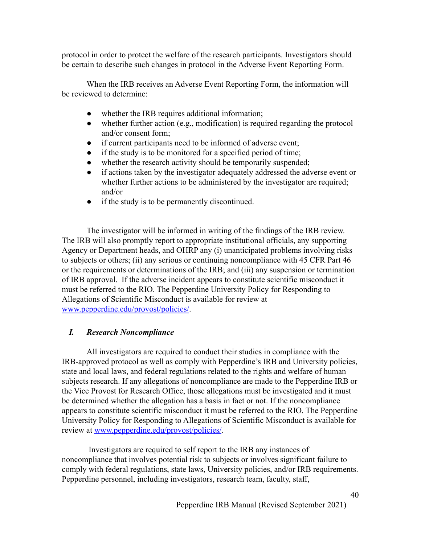protocol in order to protect the welfare of the research participants. Investigators should be certain to describe such changes in protocol in the Adverse Event Reporting Form.

When the IRB receives an Adverse Event Reporting Form, the information will be reviewed to determine:

- whether the IRB requires additional information;
- whether further action (e.g., modification) is required regarding the protocol and/or consent form;
- if current participants need to be informed of adverse event;
- if the study is to be monitored for a specified period of time;
- whether the research activity should be temporarily suspended;
- if actions taken by the investigator adequately addressed the adverse event or whether further actions to be administered by the investigator are required; and/or
- if the study is to be permanently discontinued.

The investigator will be informed in writing of the findings of the IRB review. The IRB will also promptly report to appropriate institutional officials, any supporting Agency or Department heads, and OHRP any (i) unanticipated problems involving risks to subjects or others; (ii) any serious or continuing noncompliance with 45 CFR Part 46 or the requirements or determinations of the IRB; and (iii) any suspension or termination of IRB approval. If the adverse incident appears to constitute scientific misconduct it must be referred to the RIO. The Pepperdine University Policy for Responding to Allegations of Scientific Misconduct is available for review at [www.pepperdine.edu/provost/policies/](http://www.pepperdine.edu/provost/policies/).

### *I. Research Noncompliance*

All investigators are required to conduct their studies in compliance with the IRB-approved protocol as well as comply with Pepperdine's IRB and University policies, state and local laws, and federal regulations related to the rights and welfare of human subjects research. If any allegations of noncompliance are made to the Pepperdine IRB or the Vice Provost for Research Office, those allegations must be investigated and it must be determined whether the allegation has a basis in fact or not. If the noncompliance appears to constitute scientific misconduct it must be referred to the RIO. The Pepperdine University Policy for Responding to Allegations of Scientific Misconduct is available for review at [www.pepperdine.edu/provost/policies/](http://www.pepperdine.edu/provost/policies/).

Investigators are required to self report to the IRB any instances of noncompliance that involves potential risk to subjects or involves significant failure to comply with federal regulations, state laws, University policies, and/or IRB requirements. Pepperdine personnel, including investigators, research team, faculty, staff,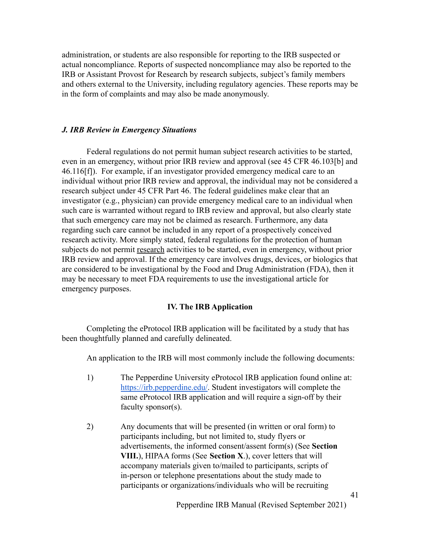administration, or students are also responsible for reporting to the IRB suspected or actual noncompliance. Reports of suspected noncompliance may also be reported to the IRB or Assistant Provost for Research by research subjects, subject's family members and others external to the University, including regulatory agencies. These reports may be in the form of complaints and may also be made anonymously.

#### *J. IRB Review in Emergency Situations*

Federal regulations do not permit human subject research activities to be started, even in an emergency, without prior IRB review and approval (see 45 CFR 46.103[b] and 46.116[f]). For example, if an investigator provided emergency medical care to an individual without prior IRB review and approval, the individual may not be considered a research subject under 45 CFR Part 46. The federal guidelines make clear that an investigator (e.g., physician) can provide emergency medical care to an individual when such care is warranted without regard to IRB review and approval, but also clearly state that such emergency care may not be claimed as research. Furthermore, any data regarding such care cannot be included in any report of a prospectively conceived research activity. More simply stated, federal regulations for the protection of human subjects do not permit research activities to be started, even in emergency, without prior IRB review and approval. If the emergency care involves drugs, devices, or biologics that are considered to be investigational by the Food and Drug Administration (FDA), then it may be necessary to meet FDA requirements to use the investigational article for emergency purposes.

#### **IV. The IRB Application**

Completing the eProtocol IRB application will be facilitated by a study that has been thoughtfully planned and carefully delineated.

An application to the IRB will most commonly include the following documents:

- 1) The Pepperdine University eProtocol IRB application found online at: <https://irb.pepperdine.edu/>. Student investigators will complete the same eProtocol IRB application and will require a sign-off by their faculty sponsor(s).
- 2) Any documents that will be presented (in written or oral form) to participants including, but not limited to, study flyers or advertisements, the informed consent/assent form(s) (See **Section VIII.**), HIPAA forms (See **Section X**.), cover letters that will accompany materials given to/mailed to participants, scripts of in-person or telephone presentations about the study made to participants or organizations/individuals who will be recruiting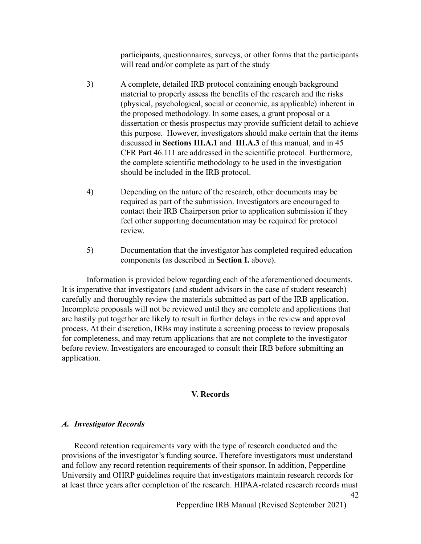participants, questionnaires, surveys, or other forms that the participants will read and/or complete as part of the study

- 3) A complete, detailed IRB protocol containing enough background material to properly assess the benefits of the research and the risks (physical, psychological, social or economic, as applicable) inherent in the proposed methodology. In some cases, a grant proposal or a dissertation or thesis prospectus may provide sufficient detail to achieve this purpose. However, investigators should make certain that the items discussed in **Sections III.A.1** and **III.A.3** of this manual, and in 45 CFR Part 46.111 are addressed in the scientific protocol. Furthermore, the complete scientific methodology to be used in the investigation should be included in the IRB protocol.
- 4) Depending on the nature of the research, other documents may be required as part of the submission. Investigators are encouraged to contact their IRB Chairperson prior to application submission if they feel other supporting documentation may be required for protocol review.
- 5) Documentation that the investigator has completed required education components (as described in **Section I.** above).

Information is provided below regarding each of the aforementioned documents. It is imperative that investigators (and student advisors in the case of student research) carefully and thoroughly review the materials submitted as part of the IRB application. Incomplete proposals will not be reviewed until they are complete and applications that are hastily put together are likely to result in further delays in the review and approval process. At their discretion, IRBs may institute a screening process to review proposals for completeness, and may return applications that are not complete to the investigator before review. Investigators are encouraged to consult their IRB before submitting an application.

#### **V. Records**

#### *A. Investigator Records*

Record retention requirements vary with the type of research conducted and the provisions of the investigator's funding source. Therefore investigators must understand and follow any record retention requirements of their sponsor. In addition, Pepperdine University and OHRP guidelines require that investigators maintain research records for at least three years after completion of the research. HIPAA-related research records must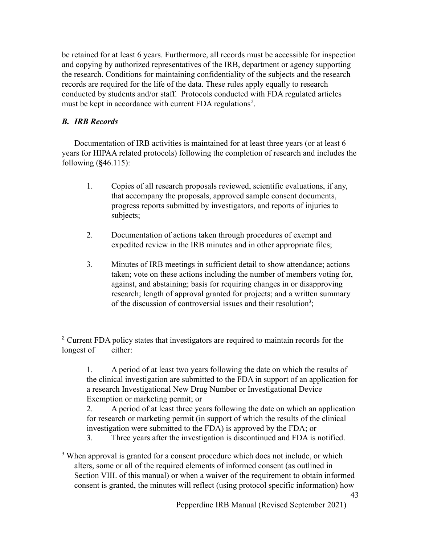be retained for at least 6 years. Furthermore, all records must be accessible for inspection and copying by authorized representatives of the IRB, department or agency supporting the research. Conditions for maintaining confidentiality of the subjects and the research records are required for the life of the data. These rules apply equally to research conducted by students and/or staff. Protocols conducted with FDA regulated articles must be kept in accordance with current FDA regulations<sup>2</sup>.

### *B. IRB Records*

Documentation of IRB activities is maintained for at least three years (or at least 6 years for HIPAA related protocols) following the completion of research and includes the following (**§**46.115):

- 1. Copies of all research proposals reviewed, scientific evaluations, if any, that accompany the proposals, approved sample consent documents, progress reports submitted by investigators, and reports of injuries to subjects;
- 2. Documentation of actions taken through procedures of exempt and expedited review in the IRB minutes and in other appropriate files;
- 3. Minutes of IRB meetings in sufficient detail to show attendance; actions taken; vote on these actions including the number of members voting for, against, and abstaining; basis for requiring changes in or disapproving research; length of approval granted for projects; and a written summary of the discussion of controversial issues and their resolution<sup>3</sup>;

3. Three years after the investigation is discontinued and FDA is notified.

<sup>3</sup> When approval is granted for a consent procedure which does not include, or which alters, some or all of the required elements of informed consent (as outlined in Section VIII. of this manual) or when a waiver of the requirement to obtain informed consent is granted, the minutes will reflect (using protocol specific information) how

<sup>&</sup>lt;sup>2</sup> Current FDA policy states that investigators are required to maintain records for the longest of either:

<sup>1.</sup> A period of at least two years following the date on which the results of the clinical investigation are submitted to the FDA in support of an application for a research Investigational New Drug Number or Investigational Device Exemption or marketing permit; or

<sup>2.</sup> A period of at least three years following the date on which an application for research or marketing permit (in support of which the results of the clinical investigation were submitted to the FDA) is approved by the FDA; or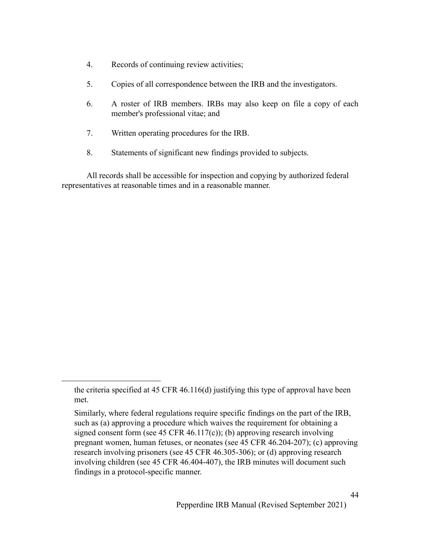- 4. Records of continuing review activities;
- 5. Copies of all correspondence between the IRB and the investigators.
- 6. A roster of IRB members. IRBs may also keep on file a copy of each member's professional vitae; and
- 7. Written operating procedures for the IRB.
- 8. Statements of significant new findings provided to subjects.

All records shall be accessible for inspection and copying by authorized federal representatives at reasonable times and in a reasonable manner.

the criteria specified at 45 CFR 46.116(d) justifying this type of approval have been met.

Similarly, where federal regulations require specific findings on the part of the IRB, such as (a) approving a procedure which waives the requirement for obtaining a signed consent form (see 45 CFR 46.117(c)); (b) approving research involving pregnant women, human fetuses, or neonates (see 45 CFR 46.204-207); (c) approving research involving prisoners (see 45 CFR 46.305-306); or (d) approving research involving children (see 45 CFR 46.404-407), the IRB minutes will document such findings in a protocol-specific manner.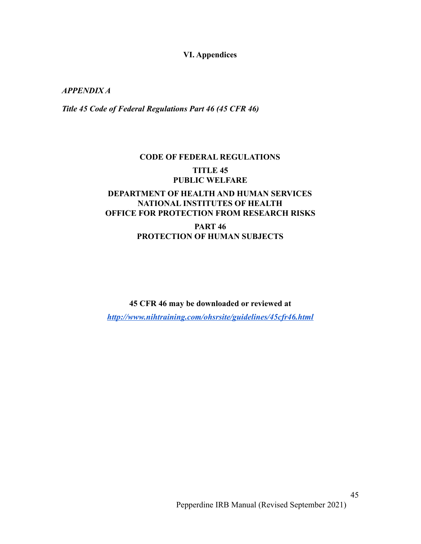#### **VI. Appendices**

*APPENDIX A*

*Title 45 Code of Federal Regulations Part 46 (45 CFR 46)*

# **CODE OF FEDERAL REGULATIONS TITLE 45 PUBLIC WELFARE**

#### **DEPARTMENT OF HEALTH AND HUMAN SERVICES NATIONAL INSTITUTES OF HEALTH OFFICE FOR PROTECTION FROM RESEARCH RISKS**

**PART 46 PROTECTION OF HUMAN SUBJECTS**

**45 CFR 46 may be downloaded or reviewed at**

*[http://www.nihtraining.com/ohsrsite/guidelines/45cfr46.html](https://www.hhs.gov/ohrp/regulations-and-policy/regulations/45-cfr-46/index.html)*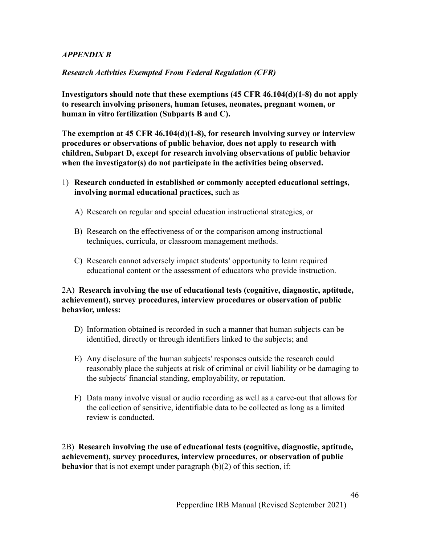#### *APPENDIX B*

#### *Research Activities Exempted From Federal Regulation (CFR)*

**Investigators should note that these exemptions (45 CFR 46.104(d)(1-8) do not apply to research involving prisoners, human fetuses, neonates, pregnant women, or human in vitro fertilization (Subparts B and C).**

**The exemption at 45 CFR 46.104(d)(1-8), for research involving survey or interview procedures or observations of public behavior, does not apply to research with children, Subpart D, except for research involving observations of public behavior when the investigator(s) do not participate in the activities being observed.**

- 1) **Research conducted in established or commonly accepted educational settings, involving normal educational practices,** such as
	- A) Research on regular and special education instructional strategies, or
	- B) Research on the effectiveness of or the comparison among instructional techniques, curricula, or classroom management methods.
	- C) Research cannot adversely impact students' opportunity to learn required educational content or the assessment of educators who provide instruction.

#### 2A) **Research involving the use of educational tests (cognitive, diagnostic, aptitude, achievement), survey procedures, interview procedures or observation of public behavior, unless:**

- D) Information obtained is recorded in such a manner that human subjects can be identified, directly or through identifiers linked to the subjects; and
- E) Any disclosure of the human subjects' responses outside the research could reasonably place the subjects at risk of criminal or civil liability or be damaging to the subjects' financial standing, employability, or reputation.
- F) Data many involve visual or audio recording as well as a carve-out that allows for the collection of sensitive, identifiable data to be collected as long as a limited review is conducted.

2B) **Research involving the use of educational tests (cognitive, diagnostic, aptitude, achievement), survey procedures, interview procedures, or observation of public behavior** that is not exempt under paragraph (b)(2) of this section, if: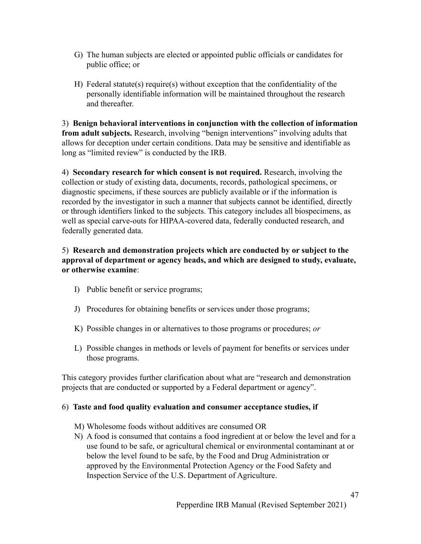- G) The human subjects are elected or appointed public officials or candidates for public office; or
- H) Federal statute(s) require(s) without exception that the confidentiality of the personally identifiable information will be maintained throughout the research and thereafter.

3) **Benign behavioral interventions in conjunction with the collection of information from adult subjects.** Research, involving "benign interventions" involving adults that allows for deception under certain conditions. Data may be sensitive and identifiable as long as "limited review" is conducted by the IRB.

4) **Secondary research for which consent is not required.** Research, involving the collection or study of existing data, documents, records, pathological specimens, or diagnostic specimens, if these sources are publicly available or if the information is recorded by the investigator in such a manner that subjects cannot be identified, directly or through identifiers linked to the subjects. This category includes all biospecimens, as well as special carve-outs for HIPAA-covered data, federally conducted research, and federally generated data.

### 5) **Research and demonstration projects which are conducted by or subject to the approval of department or agency heads, and which are designed to study, evaluate, or otherwise examine**:

- I) Public benefit or service programs;
- J) Procedures for obtaining benefits or services under those programs;
- K) Possible changes in or alternatives to those programs or procedures; *or*
- L) Possible changes in methods or levels of payment for benefits or services under those programs.

This category provides further clarification about what are "research and demonstration projects that are conducted or supported by a Federal department or agency".

### 6) **Taste and food quality evaluation and consumer acceptance studies, if**

- M) Wholesome foods without additives are consumed OR
- N) A food is consumed that contains a food ingredient at or below the level and for a use found to be safe, or agricultural chemical or environmental contaminant at or below the level found to be safe, by the Food and Drug Administration or approved by the Environmental Protection Agency or the Food Safety and Inspection Service of the U.S. Department of Agriculture.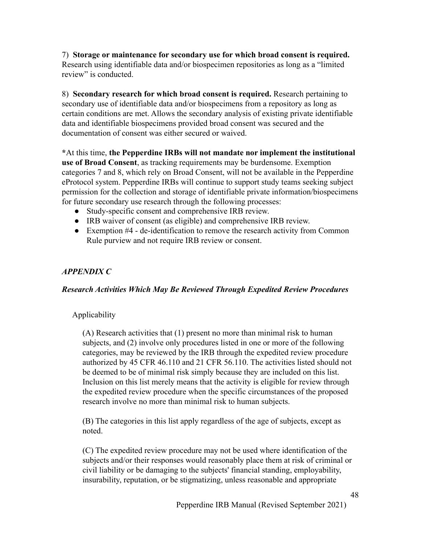7) **Storage or maintenance for secondary use for which broad consent is required.** Research using identifiable data and/or biospecimen repositories as long as a "limited review" is conducted.

8) **Secondary research for which broad consent is required.** Research pertaining to secondary use of identifiable data and/or biospecimens from a repository as long as certain conditions are met. Allows the secondary analysis of existing private identifiable data and identifiable biospecimens provided broad consent was secured and the documentation of consent was either secured or waived.

**\***At this time, **the Pepperdine IRBs will not mandate nor implement the institutional use of Broad Consent**, as tracking requirements may be burdensome. Exemption categories 7 and 8, which rely on Broad Consent, will not be available in the Pepperdine eProtocol system. Pepperdine IRBs will continue to support study teams seeking subject permission for the collection and storage of identifiable private information/biospecimens for future secondary use research through the following processes:

- Study-specific consent and comprehensive IRB review.
- IRB waiver of consent (as eligible) and comprehensive IRB review.
- Exemption #4 de-identification to remove the research activity from Common Rule purview and not require IRB review or consent.

### *APPENDIX C*

#### *Research Activities Which May Be Reviewed Through Expedited Review Procedures*

#### Applicability

(A) Research activities that (1) present no more than minimal risk to human subjects, and (2) involve only procedures listed in one or more of the following categories, may be reviewed by the IRB through the expedited review procedure authorized by 45 CFR 46.110 and 21 CFR 56.110. The activities listed should not be deemed to be of minimal risk simply because they are included on this list. Inclusion on this list merely means that the activity is eligible for review through the expedited review procedure when the specific circumstances of the proposed research involve no more than minimal risk to human subjects.

(B) The categories in this list apply regardless of the age of subjects, except as noted.

(C) The expedited review procedure may not be used where identification of the subjects and/or their responses would reasonably place them at risk of criminal or civil liability or be damaging to the subjects' financial standing, employability, insurability, reputation, or be stigmatizing, unless reasonable and appropriate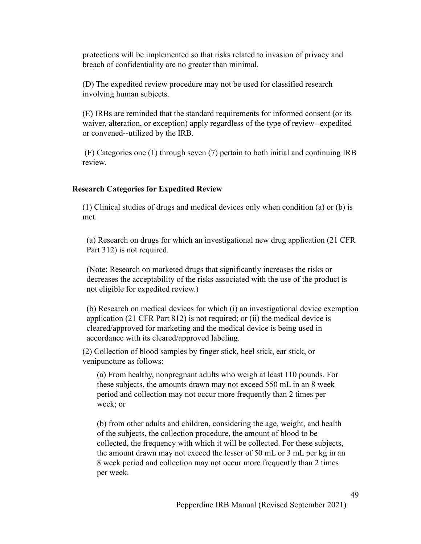protections will be implemented so that risks related to invasion of privacy and breach of confidentiality are no greater than minimal.

(D) The expedited review procedure may not be used for classified research involving human subjects.

(E) IRBs are reminded that the standard requirements for informed consent (or its waiver, alteration, or exception) apply regardless of the type of review--expedited or convened--utilized by the IRB.

(F) Categories one (1) through seven (7) pertain to both initial and continuing IRB review.

#### **Research Categories for Expedited Review**

(1) Clinical studies of drugs and medical devices only when condition (a) or (b) is met.

(a) Research on drugs for which an investigational new drug application (21 CFR Part 312) is not required.

(Note: Research on marketed drugs that significantly increases the risks or decreases the acceptability of the risks associated with the use of the product is not eligible for expedited review.)

(b) Research on medical devices for which (i) an investigational device exemption application (21 CFR Part 812) is not required; or (ii) the medical device is cleared/approved for marketing and the medical device is being used in accordance with its cleared/approved labeling.

(2) Collection of blood samples by finger stick, heel stick, ear stick, or venipuncture as follows:

(a) From healthy, nonpregnant adults who weigh at least 110 pounds. For these subjects, the amounts drawn may not exceed 550 mL in an 8 week period and collection may not occur more frequently than 2 times per week; or

(b) from other adults and children, considering the age, weight, and health of the subjects, the collection procedure, the amount of blood to be collected, the frequency with which it will be collected. For these subjects, the amount drawn may not exceed the lesser of 50 mL or 3 mL per kg in an 8 week period and collection may not occur more frequently than 2 times per week.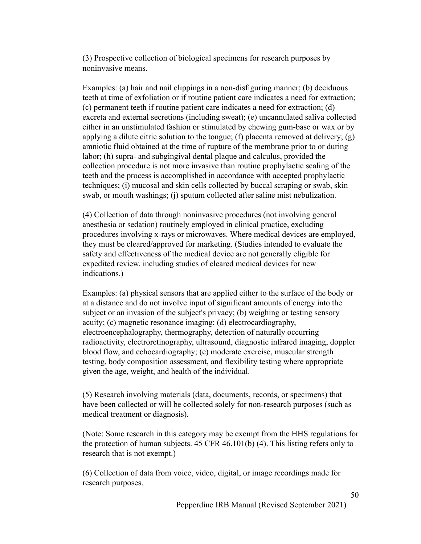(3) Prospective collection of biological specimens for research purposes by noninvasive means.

Examples: (a) hair and nail clippings in a non-disfiguring manner; (b) deciduous teeth at time of exfoliation or if routine patient care indicates a need for extraction; (c) permanent teeth if routine patient care indicates a need for extraction; (d) excreta and external secretions (including sweat); (e) uncannulated saliva collected either in an unstimulated fashion or stimulated by chewing gum-base or wax or by applying a dilute citric solution to the tongue; (f) placenta removed at delivery; (g) amniotic fluid obtained at the time of rupture of the membrane prior to or during labor; (h) supra- and subgingival dental plaque and calculus, provided the collection procedure is not more invasive than routine prophylactic scaling of the teeth and the process is accomplished in accordance with accepted prophylactic techniques; (i) mucosal and skin cells collected by buccal scraping or swab, skin swab, or mouth washings; (i) sputum collected after saline mist nebulization.

(4) Collection of data through noninvasive procedures (not involving general anesthesia or sedation) routinely employed in clinical practice, excluding procedures involving x-rays or microwaves. Where medical devices are employed, they must be cleared/approved for marketing. (Studies intended to evaluate the safety and effectiveness of the medical device are not generally eligible for expedited review, including studies of cleared medical devices for new indications.)

Examples: (a) physical sensors that are applied either to the surface of the body or at a distance and do not involve input of significant amounts of energy into the subject or an invasion of the subject's privacy; (b) weighing or testing sensory acuity; (c) magnetic resonance imaging; (d) electrocardiography, electroencephalography, thermography, detection of naturally occurring radioactivity, electroretinography, ultrasound, diagnostic infrared imaging, doppler blood flow, and echocardiography; (e) moderate exercise, muscular strength testing, body composition assessment, and flexibility testing where appropriate given the age, weight, and health of the individual.

(5) Research involving materials (data, documents, records, or specimens) that have been collected or will be collected solely for non-research purposes (such as medical treatment or diagnosis).

(Note: Some research in this category may be exempt from the HHS regulations for the protection of human subjects. 45 CFR 46.101(b) (4). This listing refers only to research that is not exempt.)

(6) Collection of data from voice, video, digital, or image recordings made for research purposes.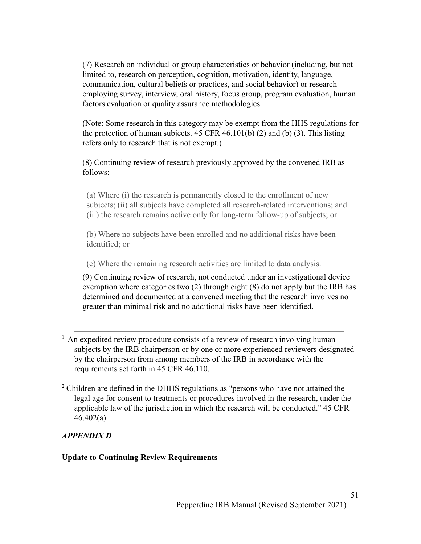(7) Research on individual or group characteristics or behavior (including, but not limited to, research on perception, cognition, motivation, identity, language, communication, cultural beliefs or practices, and social behavior) or research employing survey, interview, oral history, focus group, program evaluation, human factors evaluation or quality assurance methodologies.

(Note: Some research in this category may be exempt from the HHS regulations for the protection of human subjects.  $45 \text{ CFR } 46.101(b)$  (2) and (b) (3). This listing refers only to research that is not exempt.)

(8) Continuing review of research previously approved by the convened IRB as follows:

(a) Where (i) the research is permanently closed to the enrollment of new subjects; (ii) all subjects have completed all research-related interventions; and (iii) the research remains active only for long-term follow-up of subjects; or

(b) Where no subjects have been enrolled and no additional risks have been identified; or

(c) Where the remaining research activities are limited to data analysis.

(9) Continuing review of research, not conducted under an investigational device exemption where categories two (2) through eight (8) do not apply but the IRB has determined and documented at a convened meeting that the research involves no greater than minimal risk and no additional risks have been identified.

<sup>1</sup> An expedited review procedure consists of a review of research involving human subjects by the IRB chairperson or by one or more experienced reviewers designated by the chairperson from among members of the IRB in accordance with the requirements set forth in 45 CFR 46.110.

<sup>2</sup> Children are defined in the DHHS regulations as "persons who have not attained the legal age for consent to treatments or procedures involved in the research, under the applicable law of the jurisdiction in which the research will be conducted." 45 CFR 46.402(a).

#### *APPENDIX D*

#### **Update to Continuing Review Requirements**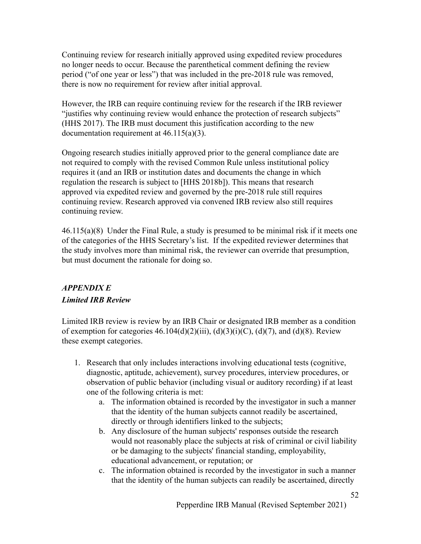Continuing review for research initially approved using expedited review procedures no longer needs to occur. Because the parenthetical comment defining the review period ("of one year or less") that was included in the pre-2018 rule was removed, there is now no requirement for review after initial approval.

However, the IRB can require continuing review for the research if the IRB reviewer "justifies why continuing review would enhance the protection of research subjects" (HHS 2017). The IRB must document this justification according to the new documentation requirement at 46.115(a)(3).

Ongoing research studies initially approved prior to the general compliance date are not required to comply with the revised Common Rule unless institutional policy requires it (and an IRB or institution dates and documents the change in which regulation the research is subject to [HHS 2018b]). This means that research approved via expedited review and governed by the pre-2018 rule still requires continuing review. Research approved via convened IRB review also still requires continuing review.

46.115(a)(8) Under the Final Rule, a study is presumed to be minimal risk if it meets one of the categories of the HHS Secretary's list. If the expedited reviewer determines that the study involves more than minimal risk, the reviewer can override that presumption, but must document the rationale for doing so.

# *APPENDIX E Limited IRB Review*

Limited IRB review is review by an IRB Chair or designated IRB member as a condition of exemption for categories  $46.104(d)(2)(iii)$ ,  $(d)(3)(i)(C)$ ,  $(d)(7)$ , and  $(d)(8)$ . Review these exempt categories.

- 1. Research that only includes interactions involving educational tests (cognitive, diagnostic, aptitude, achievement), survey procedures, interview procedures, or observation of public behavior (including visual or auditory recording) if at least one of the following criteria is met:
	- a. The information obtained is recorded by the investigator in such a manner that the identity of the human subjects cannot readily be ascertained, directly or through identifiers linked to the subjects;
	- b. Any disclosure of the human subjects' responses outside the research would not reasonably place the subjects at risk of criminal or civil liability or be damaging to the subjects' financial standing, employability, educational advancement, or reputation; or
	- c. The information obtained is recorded by the investigator in such a manner that the identity of the human subjects can readily be ascertained, directly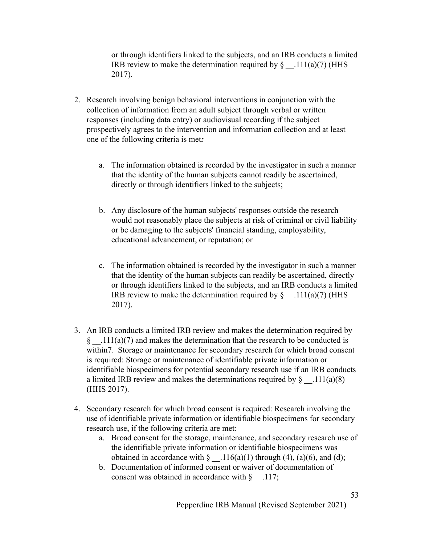or through identifiers linked to the subjects, and an IRB conducts a limited IRB review to make the determination required by  $\S$  . 111(a)(7) (HHS 2017).

- 2. Research involving benign behavioral interventions in conjunction with the collection of information from an adult subject through verbal or written responses (including data entry) or audiovisual recording if the subject prospectively agrees to the intervention and information collection and at least one of the following criteria is met*:*
	- a. The information obtained is recorded by the investigator in such a manner that the identity of the human subjects cannot readily be ascertained, directly or through identifiers linked to the subjects;
	- b. Any disclosure of the human subjects' responses outside the research would not reasonably place the subjects at risk of criminal or civil liability or be damaging to the subjects' financial standing, employability, educational advancement, or reputation; or
	- c. The information obtained is recorded by the investigator in such a manner that the identity of the human subjects can readily be ascertained, directly or through identifiers linked to the subjects, and an IRB conducts a limited IRB review to make the determination required by  $\S$  .111(a)(7) (HHS 2017).
- 3. An IRB conducts a limited IRB review and makes the determination required by §  $.111(a)(7)$  and makes the determination that the research to be conducted is within7. Storage or maintenance for secondary research for which broad consent is required: Storage or maintenance of identifiable private information or identifiable biospecimens for potential secondary research use if an IRB conducts a limited IRB review and makes the determinations required by  $\S$  . 111(a)(8) (HHS 2017).
- 4. Secondary research for which broad consent is required: Research involving the use of identifiable private information or identifiable biospecimens for secondary research use, if the following criteria are met:
	- a. Broad consent for the storage, maintenance, and secondary research use of the identifiable private information or identifiable biospecimens was obtained in accordance with  $\S$  . 116(a)(1) through (4), (a)(6), and (d);
	- b. Documentation of informed consent or waiver of documentation of consent was obtained in accordance with § \_\_.117;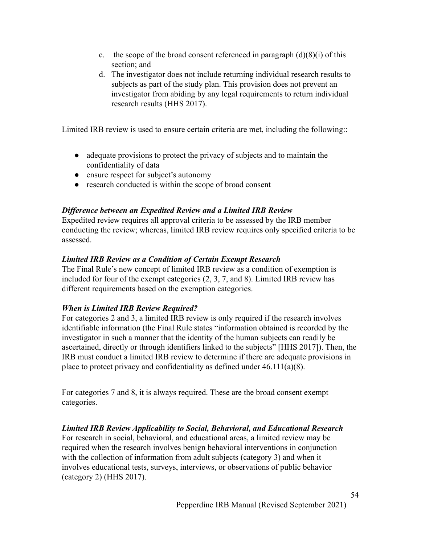- c. the scope of the broad consent referenced in paragraph  $(d)(8)(i)$  of this section; and
- d. The investigator does not include returning individual research results to subjects as part of the study plan. This provision does not prevent an investigator from abiding by any legal requirements to return individual research results (HHS 2017).

Limited IRB review is used to ensure certain criteria are met, including the following::

- adequate provisions to protect the privacy of subjects and to maintain the confidentiality of data
- ensure respect for subject's autonomy
- research conducted is within the scope of broad consent

### *Difference between an Expedited Review and a Limited IRB Review*

Expedited review requires all approval criteria to be assessed by the IRB member conducting the review; whereas, limited IRB review requires only specified criteria to be assessed.

### *Limited IRB Review as a Condition of Certain Exempt Research*

The Final Rule's new concept of limited IRB review as a condition of exemption is included for four of the exempt categories (2, 3, 7, and 8). Limited IRB review has different requirements based on the exemption categories.

#### *When is Limited IRB Review Required?*

For categories 2 and 3, a limited IRB review is only required if the research involves identifiable information (the Final Rule states "information obtained is recorded by the investigator in such a manner that the identity of the human subjects can readily be ascertained, directly or through identifiers linked to the subjects" [HHS 2017]). Then, the IRB must conduct a limited IRB review to determine if there are adequate provisions in place to protect privacy and confidentiality as defined under 46.111(a)(8).

For categories 7 and 8, it is always required. These are the broad consent exempt categories.

### *Limited IRB Review Applicability to Social, Behavioral, and Educational Research*

For research in social, behavioral, and educational areas, a limited review may be required when the research involves benign behavioral interventions in conjunction with the collection of information from adult subjects (category 3) and when it involves educational tests, surveys, interviews, or observations of public behavior (category 2) (HHS 2017).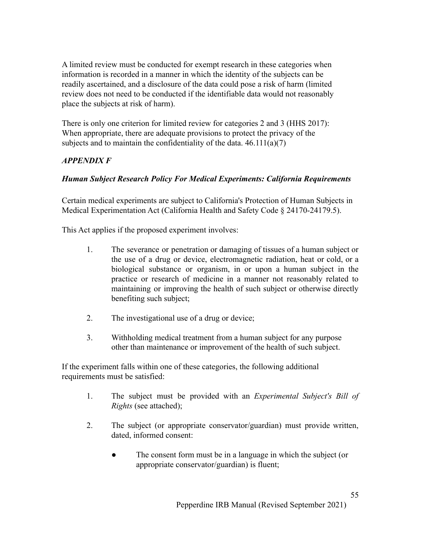A limited review must be conducted for exempt research in these categories when information is recorded in a manner in which the identity of the subjects can be readily ascertained, and a disclosure of the data could pose a risk of harm (limited review does not need to be conducted if the identifiable data would not reasonably place the subjects at risk of harm).

There is only one criterion for limited review for categories 2 and 3 (HHS 2017): When appropriate, there are adequate provisions to protect the privacy of the subjects and to maintain the confidentiality of the data.  $46.111(a)(7)$ 

# *APPENDIX F*

### *Human Subject Research Policy For Medical Experiments: California Requirements*

Certain medical experiments are subject to California's Protection of Human Subjects in Medical Experimentation Act (California Health and Safety Code § 24170-24179.5).

This Act applies if the proposed experiment involves:

- 1. The severance or penetration or damaging of tissues of a human subject or the use of a drug or device, electromagnetic radiation, heat or cold, or a biological substance or organism, in or upon a human subject in the practice or research of medicine in a manner not reasonably related to maintaining or improving the health of such subject or otherwise directly benefiting such subject;
- 2. The investigational use of a drug or device;
- 3. Withholding medical treatment from a human subject for any purpose other than maintenance or improvement of the health of such subject.

If the experiment falls within one of these categories, the following additional requirements must be satisfied:

- 1. The subject must be provided with an *Experimental Subject's Bill of Rights* (see attached);
- 2. The subject (or appropriate conservator/guardian) must provide written, dated, informed consent:
	- The consent form must be in a language in which the subject (or appropriate conservator/guardian) is fluent;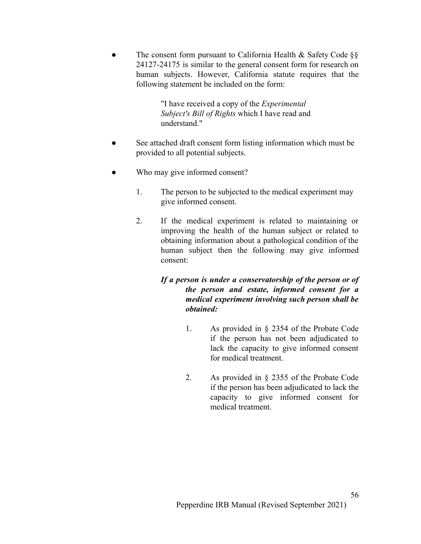The consent form pursuant to California Health & Safety Code  $\S$ § 24127-24175 is similar to the general consent form for research on human subjects. However, California statute requires that the following statement be included on the form:

> "I have received a copy of the *Experimental Subject's Bill of Rights* which I have read and understand."

- See attached draft consent form listing information which must be provided to all potential subjects.
- Who may give informed consent?
	- 1. The person to be subjected to the medical experiment may give informed consent.
	- 2. If the medical experiment is related to maintaining or improving the health of the human subject or related to obtaining information about a pathological condition of the human subject then the following may give informed consent:

### *If a person is under a conservatorship of the person or of the person and estate, informed consent for a medical experiment involving such person shall be obtained:*

- 1. As provided in § 2354 of the Probate Code if the person has not been adjudicated to lack the capacity to give informed consent for medical treatment.
- 2. As provided in § 2355 of the Probate Code if the person has been adjudicated to lack the capacity to give informed consent for medical treatment.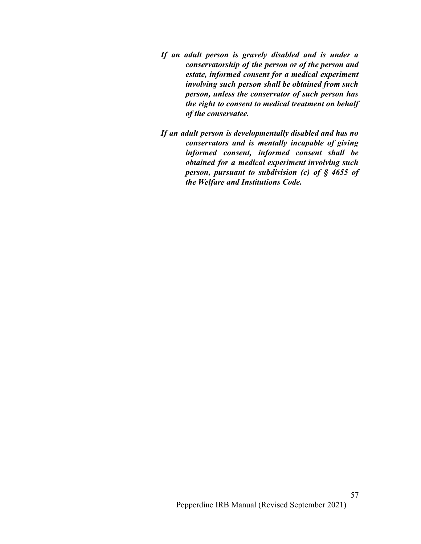- *If an adult person is gravely disabled and is under a conservatorship of the person or of the person and estate, informed consent for a medical experiment involving such person shall be obtained from such person, unless the conservator of such person has the right to consent to medical treatment on behalf of the conservatee.*
- *If an adult person is developmentally disabled and has no conservators and is mentally incapable of giving informed consent, informed consent shall be obtained for a medical experiment involving such person, pursuant to subdivision (c) of § 4655 of the Welfare and Institutions Code.*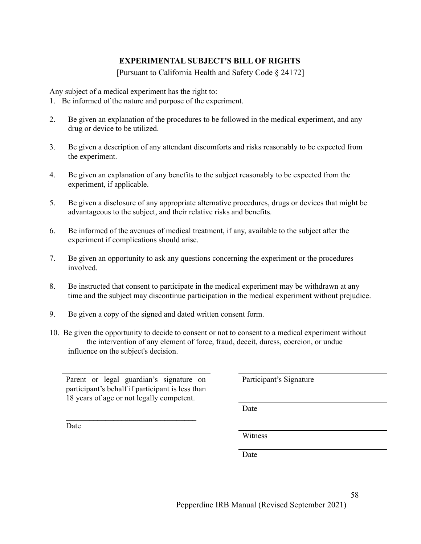### **EXPERIMENTAL SUBJECT'S BILL OF RIGHTS**

[Pursuant to California Health and Safety Code § 24172]

Any subject of a medical experiment has the right to:

- 1. Be informed of the nature and purpose of the experiment.
- 2. Be given an explanation of the procedures to be followed in the medical experiment, and any drug or device to be utilized.
- 3. Be given a description of any attendant discomforts and risks reasonably to be expected from the experiment.
- 4. Be given an explanation of any benefits to the subject reasonably to be expected from the experiment, if applicable.
- 5. Be given a disclosure of any appropriate alternative procedures, drugs or devices that might be advantageous to the subject, and their relative risks and benefits.
- 6. Be informed of the avenues of medical treatment, if any, available to the subject after the experiment if complications should arise.
- 7. Be given an opportunity to ask any questions concerning the experiment or the procedures involved.
- 8. Be instructed that consent to participate in the medical experiment may be withdrawn at any time and the subject may discontinue participation in the medical experiment without prejudice.
- 9. Be given a copy of the signed and dated written consent form.
- 10. Be given the opportunity to decide to consent or not to consent to a medical experiment without the intervention of any element of force, fraud, deceit, duress, coercion, or undue influence on the subject's decision.

Parent or legal guardian's signature on participant's behalf if participant is less than 18 years of age or not legally competent.

 $\mathcal{L}_\text{max}$  , where  $\mathcal{L}_\text{max}$  is the set of the set of the set of the set of the set of the set of the set of the set of the set of the set of the set of the set of the set of the set of the set of the set of the se

Participant's Signature

Date

Date

Witness

Date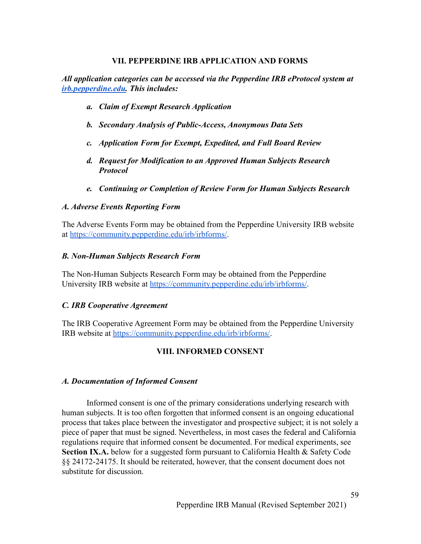#### **VII. PEPPERDINE IRB APPLICATION AND FORMS**

*All application categories can be accessed via the Pepperdine IRB eProtocol system at [irb.pepperdine.edu.](mailto:irb@pepperdine.edu) This includes:*

- *a. Claim of Exempt Research Application*
- *b. Secondary Analysis of Public-Access, Anonymous Data Sets*
- *c. Application Form for Exempt, Expedited, and Full Board Review*
- *d. Request for Modification to an Approved Human Subjects Research Protocol*
- *e. Continuing or Completion of Review Form for Human Subjects Research*

### *A. Adverse Events Reporting Form*

The Adverse Events Form may be obtained from the Pepperdine University IRB website at <https://community.pepperdine.edu/irb/irbforms/>.

### *B. Non-Human Subjects Research Form*

The Non-Human Subjects Research Form may be obtained from the Pepperdine University IRB website at <https://community.pepperdine.edu/irb/irbforms/>.

### *C. IRB Cooperative Agreement*

The IRB Cooperative Agreement Form may be obtained from the Pepperdine University IRB website at [https://community.pepperdine.edu/irb/irbforms/.](https://community.pepperdine.edu/irb/irbforms/)

# **VIII. INFORMED CONSENT**

### *A. Documentation of Informed Consent*

Informed consent is one of the primary considerations underlying research with human subjects. It is too often forgotten that informed consent is an ongoing educational process that takes place between the investigator and prospective subject; it is not solely a piece of paper that must be signed. Nevertheless, in most cases the federal and California regulations require that informed consent be documented. For medical experiments, see **Section IX.A.** below for a suggested form pursuant to California Health & Safety Code §§ 24172-24175. It should be reiterated, however, that the consent document does not substitute for discussion.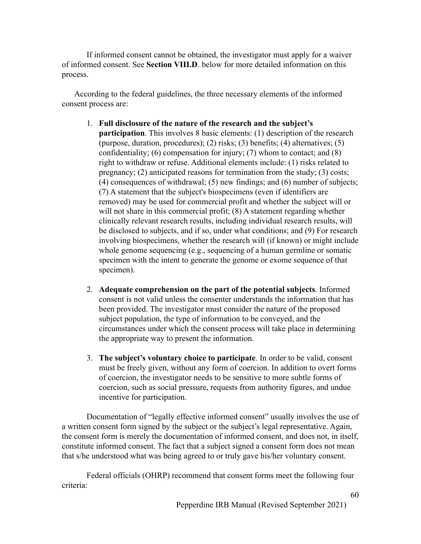If informed consent cannot be obtained, the investigator must apply for a waiver of informed consent. See **Section VIII.D**. below for more detailed information on this process.

According to the federal guidelines, the three necessary elements of the informed consent process are:

- 1. **Full disclosure of the nature of the research and the subject's participation**. This involves 8 basic elements: (1) description of the research (purpose, duration, procedures); (2) risks; (3) benefits; (4) alternatives; (5) confidentiality; (6) compensation for injury; (7) whom to contact; and  $(8)$ right to withdraw or refuse. Additional elements include: (1) risks related to pregnancy; (2) anticipated reasons for termination from the study; (3) costs; (4) consequences of withdrawal; (5) new findings; and (6) number of subjects; (7) A statement that the subject's biospecimens (even if identifiers are removed) may be used for commercial profit and whether the subject will or will not share in this commercial profit; (8) A statement regarding whether clinically relevant research results, including individual research results, will be disclosed to subjects, and if so, under what conditions; and (9) For research involving biospecimens, whether the research will (if known) or might include whole genome sequencing (e.g., sequencing of a human germline or somatic specimen with the intent to generate the genome or exome sequence of that specimen).
- 2. **Adequate comprehension on the part of the potential subjects**. Informed consent is not valid unless the consenter understands the information that has been provided. The investigator must consider the nature of the proposed subject population, the type of information to be conveyed, and the circumstances under which the consent process will take place in determining the appropriate way to present the information.
- 3. **The subject's voluntary choice to participate**. In order to be valid, consent must be freely given, without any form of coercion. In addition to overt forms of coercion, the investigator needs to be sensitive to more subtle forms of coercion, such as social pressure, requests from authority figures, and undue incentive for participation.

Documentation of "legally effective informed consent" usually involves the use of a written consent form signed by the subject or the subject's legal representative. Again, the consent form is merely the documentation of informed consent, and does not, in itself, constitute informed consent. The fact that a subject signed a consent form does not mean that s/he understood what was being agreed to or truly gave his/her voluntary consent.

Federal officials (OHRP) recommend that consent forms meet the following four criteria: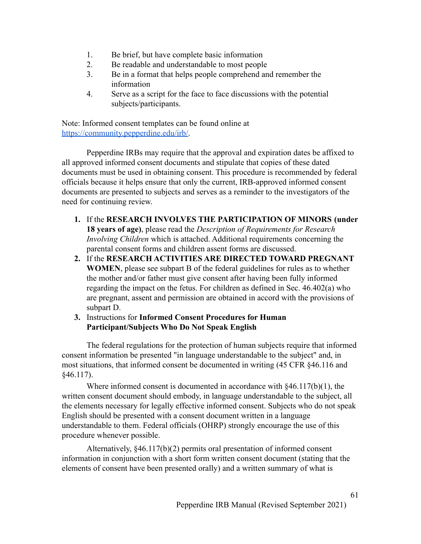- 1. Be brief, but have complete basic information
- 2. Be readable and understandable to most people
- 3. Be in a format that helps people comprehend and remember the information
- 4. Serve as a script for the face to face discussions with the potential subjects/participants.

Note: Informed consent templates can be found online at [https://community.pepperdine.edu/irb/.](https://community.pepperdine.edu/irb/)

Pepperdine IRBs may require that the approval and expiration dates be affixed to all approved informed consent documents and stipulate that copies of these dated documents must be used in obtaining consent. This procedure is recommended by federal officials because it helps ensure that only the current, IRB-approved informed consent documents are presented to subjects and serves as a reminder to the investigators of the need for continuing review.

- **1.** If the **RESEARCH INVOLVES THE PARTICIPATION OF MINORS (under 18 years of age)**, please read the *Description of Requirements for Research Involving Children* which is attached. Additional requirements concerning the parental consent forms and children assent forms are discussed.
- **2.** If the **RESEARCH ACTIVITIES ARE DIRECTED TOWARD PREGNANT WOMEN**, please see subpart B of the federal guidelines for rules as to whether the mother and/or father must give consent after having been fully informed regarding the impact on the fetus. For children as defined in Sec. 46.402(a) who are pregnant, assent and permission are obtained in accord with the provisions of subpart D.
- **3.** Instructions for **Informed Consent Procedures for Human Participant/Subjects Who Do Not Speak English**

The federal regulations for the protection of human subjects require that informed consent information be presented "in language understandable to the subject" and, in most situations, that informed consent be documented in writing (45 CFR §46.116 and §46.117).

Where informed consent is documented in accordance with  $\frac{846.117(b)(1)}{1}$ , the written consent document should embody, in language understandable to the subject, all the elements necessary for legally effective informed consent. Subjects who do not speak English should be presented with a consent document written in a language understandable to them. Federal officials (OHRP) strongly encourage the use of this procedure whenever possible.

Alternatively, §46.117(b)(2) permits oral presentation of informed consent information in conjunction with a short form written consent document (stating that the elements of consent have been presented orally) and a written summary of what is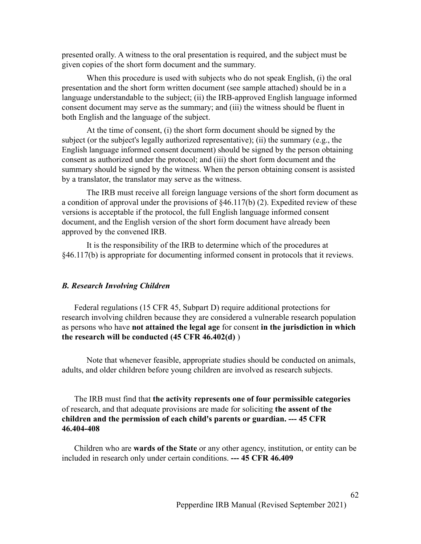presented orally. A witness to the oral presentation is required, and the subject must be given copies of the short form document and the summary.

When this procedure is used with subjects who do not speak English, (i) the oral presentation and the short form written document (see sample attached) should be in a language understandable to the subject; (ii) the IRB-approved English language informed consent document may serve as the summary; and (iii) the witness should be fluent in both English and the language of the subject.

At the time of consent, (i) the short form document should be signed by the subject (or the subject's legally authorized representative); (ii) the summary (e.g., the English language informed consent document) should be signed by the person obtaining consent as authorized under the protocol; and (iii) the short form document and the summary should be signed by the witness. When the person obtaining consent is assisted by a translator, the translator may serve as the witness.

The IRB must receive all foreign language versions of the short form document as a condition of approval under the provisions of §46.117(b) (2). Expedited review of these versions is acceptable if the protocol, the full English language informed consent document, and the English version of the short form document have already been approved by the convened IRB.

It is the responsibility of the IRB to determine which of the procedures at §46.117(b) is appropriate for documenting informed consent in protocols that it reviews.

#### *B. Research Involving Children*

Federal regulations (15 CFR 45, Subpart D) require additional protections for research involving children because they are considered a vulnerable research population as persons who have **not attained the legal age** for consent **in the jurisdiction in which the research will be conducted (45 CFR 46.402(d)** )

Note that whenever feasible, appropriate studies should be conducted on animals, adults, and older children before young children are involved as research subjects.

The IRB must find that **the activity represents one of four permissible categories** of research, and that adequate provisions are made for soliciting **the assent of the children and the permission of each child's parents or guardian. --- 45 CFR 46.404-408**

Children who are **wards of the State** or any other agency, institution, or entity can be included in research only under certain conditions. **--- 45 CFR 46.409**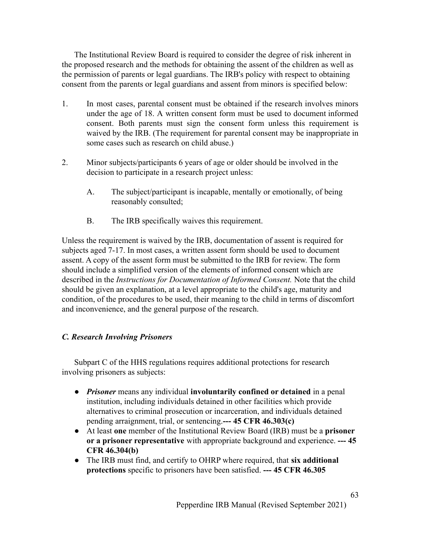The Institutional Review Board is required to consider the degree of risk inherent in the proposed research and the methods for obtaining the assent of the children as well as the permission of parents or legal guardians. The IRB's policy with respect to obtaining consent from the parents or legal guardians and assent from minors is specified below:

- 1. In most cases, parental consent must be obtained if the research involves minors under the age of 18. A written consent form must be used to document informed consent. Both parents must sign the consent form unless this requirement is waived by the IRB. (The requirement for parental consent may be inappropriate in some cases such as research on child abuse.)
- 2. Minor subjects/participants 6 years of age or older should be involved in the decision to participate in a research project unless:
	- A. The subject/participant is incapable, mentally or emotionally, of being reasonably consulted;
	- B. The IRB specifically waives this requirement.

Unless the requirement is waived by the IRB, documentation of assent is required for subjects aged 7-17. In most cases, a written assent form should be used to document assent. A copy of the assent form must be submitted to the IRB for review. The form should include a simplified version of the elements of informed consent which are described in the *Instructions for Documentation of Informed Consent.* Note that the child should be given an explanation, at a level appropriate to the child's age, maturity and condition, of the procedures to be used, their meaning to the child in terms of discomfort and inconvenience, and the general purpose of the research.

### *C. Research Involving Prisoners*

Subpart C of the HHS regulations requires additional protections for research involving prisoners as subjects:

- *Prisoner* means any individual **involuntarily confined or detained** in a penal institution, including individuals detained in other facilities which provide alternatives to criminal prosecution or incarceration, and individuals detained pending arraignment, trial, or sentencing.**--- 45 CFR 46.303(c)**
- At least **one** member of the Institutional Review Board (IRB) must be a **prisoner or a prisoner representative** with appropriate background and experience. **--- 45 CFR 46.304(b)**
- The IRB must find, and certify to OHRP where required, that **six additional protections** specific to prisoners have been satisfied. **--- 45 CFR 46.305**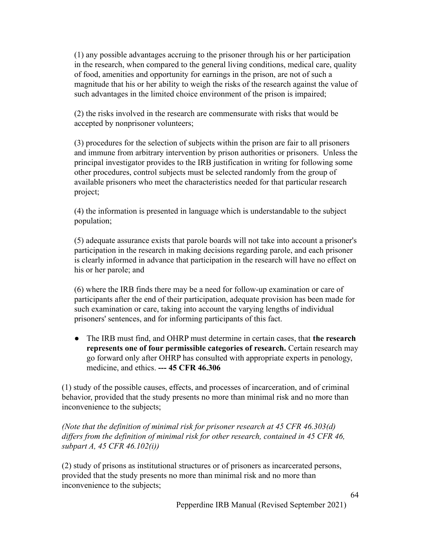(1) any possible advantages accruing to the prisoner through his or her participation in the research, when compared to the general living conditions, medical care, quality of food, amenities and opportunity for earnings in the prison, are not of such a magnitude that his or her ability to weigh the risks of the research against the value of such advantages in the limited choice environment of the prison is impaired;

(2) the risks involved in the research are commensurate with risks that would be accepted by nonprisoner volunteers;

(3) procedures for the selection of subjects within the prison are fair to all prisoners and immune from arbitrary intervention by prison authorities or prisoners. Unless the principal investigator provides to the IRB justification in writing for following some other procedures, control subjects must be selected randomly from the group of available prisoners who meet the characteristics needed for that particular research project;

(4) the information is presented in language which is understandable to the subject population;

(5) adequate assurance exists that parole boards will not take into account a prisoner's participation in the research in making decisions regarding parole, and each prisoner is clearly informed in advance that participation in the research will have no effect on his or her parole; and

(6) where the IRB finds there may be a need for follow-up examination or care of participants after the end of their participation, adequate provision has been made for such examination or care, taking into account the varying lengths of individual prisoners' sentences, and for informing participants of this fact.

● The IRB must find, and OHRP must determine in certain cases, that **the research represents one of four permissible categories of research.** Certain research may go forward only after OHRP has consulted with appropriate experts in penology, medicine, and ethics. **--- 45 CFR 46.306**

(1) study of the possible causes, effects, and processes of incarceration, and of criminal behavior, provided that the study presents no more than minimal risk and no more than inconvenience to the subjects;

*(Note that the definition of minimal risk for prisoner research at 45 CFR 46.303(d) differs from the definition of minimal risk for other research, contained in 45 CFR 46, subpart A, 45 CFR 46.102(i))*

(2) study of prisons as institutional structures or of prisoners as incarcerated persons, provided that the study presents no more than minimal risk and no more than inconvenience to the subjects;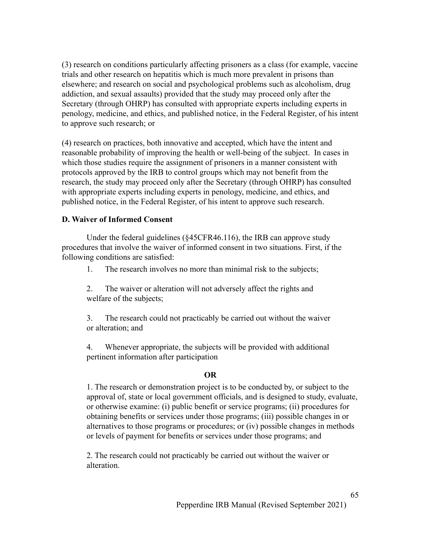(3) research on conditions particularly affecting prisoners as a class (for example, vaccine trials and other research on hepatitis which is much more prevalent in prisons than elsewhere; and research on social and psychological problems such as alcoholism, drug addiction, and sexual assaults) provided that the study may proceed only after the Secretary (through OHRP) has consulted with appropriate experts including experts in penology, medicine, and ethics, and published notice, in the Federal Register, of his intent to approve such research; or

(4) research on practices, both innovative and accepted, which have the intent and reasonable probability of improving the health or well-being of the subject. In cases in which those studies require the assignment of prisoners in a manner consistent with protocols approved by the IRB to control groups which may not benefit from the research, the study may proceed only after the Secretary (through OHRP) has consulted with appropriate experts including experts in penology, medicine, and ethics, and published notice, in the Federal Register, of his intent to approve such research.

#### **D. Waiver of Informed Consent**

Under the federal guidelines (§45CFR46.116), the IRB can approve study procedures that involve the waiver of informed consent in two situations. First, if the following conditions are satisfied:

1. The research involves no more than minimal risk to the subjects;

2. The waiver or alteration will not adversely affect the rights and welfare of the subjects;

3. The research could not practicably be carried out without the waiver or alteration; and

4. Whenever appropriate, the subjects will be provided with additional pertinent information after participation

#### **OR**

1. The research or demonstration project is to be conducted by, or subject to the approval of, state or local government officials, and is designed to study, evaluate, or otherwise examine: (i) public benefit or service programs; (ii) procedures for obtaining benefits or services under those programs; (iii) possible changes in or alternatives to those programs or procedures; or (iv) possible changes in methods or levels of payment for benefits or services under those programs; and

2. The research could not practicably be carried out without the waiver or alteration.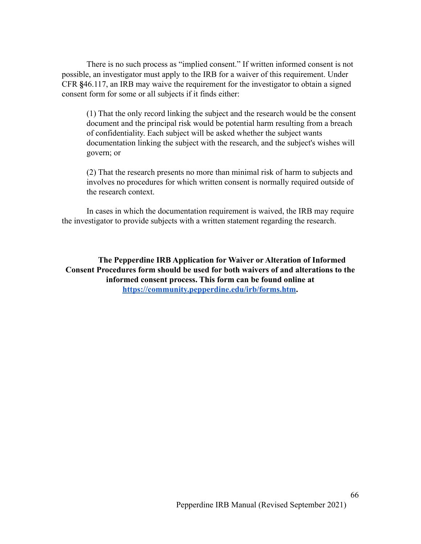There is no such process as "implied consent." If written informed consent is not possible, an investigator must apply to the IRB for a waiver of this requirement. Under CFR **§**46.117, an IRB may waive the requirement for the investigator to obtain a signed consent form for some or all subjects if it finds either:

(1) That the only record linking the subject and the research would be the consent document and the principal risk would be potential harm resulting from a breach of confidentiality. Each subject will be asked whether the subject wants documentation linking the subject with the research, and the subject's wishes will govern; or

(2) That the research presents no more than minimal risk of harm to subjects and involves no procedures for which written consent is normally required outside of the research context.

In cases in which the documentation requirement is waived, the IRB may require the investigator to provide subjects with a written statement regarding the research.

**The Pepperdine IRB Application for Waiver or Alteration of Informed Consent Procedures form should be used for both waivers of and alterations to the informed consent process. This form can be found online at [https://community.pepperdine.edu/irb/forms.htm.](https://community.pepperdine.edu/irb/graduate/forms.htm)**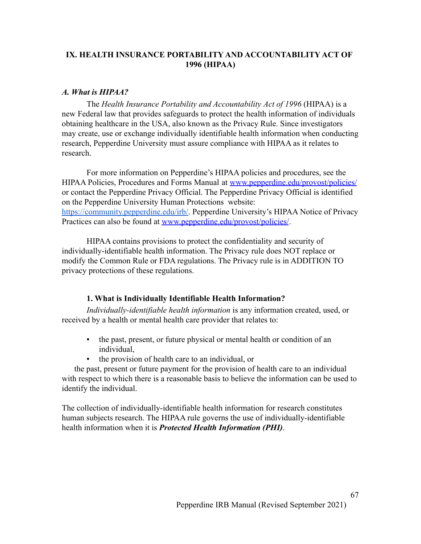### **IX. HEALTH INSURANCE PORTABILITY AND ACCOUNTABILITY ACT OF 1996 (HIPAA)**

#### *A. What is HIPAA?*

The *Health Insurance Portability and Accountability Act of 1996* (HIPAA) is a new Federal law that provides safeguards to protect the health information of individuals obtaining healthcare in the USA, also known as the Privacy Rule. Since investigators may create, use or exchange individually identifiable health information when conducting research, Pepperdine University must assure compliance with HIPAA as it relates to research.

For more information on Pepperdine's HIPAA policies and procedures, see the [HIPAA Policies, Procedures and Forms Manual](http://www.pepperdine.edu/provost/Library/HIPAAmanual.pdf) at [www.pepperdine.edu/provost/policies/](http://www.pepperdine.edu/provost/policies/) or contact the Pepperdine Privacy Official. The Pepperdine Privacy Official is identified on the Pepperdine University Human Protections website: [https://community.pepperdine.edu/irb/.](https://community.pepperdine.edu/irb/) Pepperdine University's HIPAA Notice of Privacy Practices can also be found at [www.pepperdine.edu/provost/policies/](http://www.pepperdine.edu/provost/policies/).

HIPAA contains provisions to protect the confidentiality and security of individually-identifiable health information. The Privacy rule does NOT replace or modify the Common Rule or FDA regulations. The Privacy rule is in ADDITION TO privacy protections of these regulations.

#### **1. What is Individually Identifiable Health Information?**

*Individually-identifiable health information* is any information created, used, or received by a health or mental health care provider that relates to:

- the past, present, or future physical or mental health or condition of an individual,
- the provision of health care to an individual, or

the past, present or future payment for the provision of health care to an individual with respect to which there is a reasonable basis to believe the information can be used to identify the individual.

The collection of individually-identifiable health information for research constitutes human subjects research. The HIPAA rule governs the use of individually-identifiable health information when it is *Protected Health Information (PHI)*.

67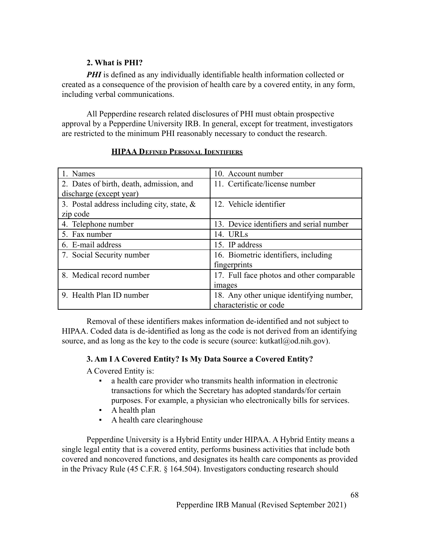### **2. What is PHI?**

*PHI* is defined as any individually identifiable health information collected or created as a consequence of the provision of health care by a covered entity, in any form, including verbal communications.

All Pepperdine research related disclosures of PHI must obtain prospective approval by a Pepperdine University IRB. In general, except for treatment, investigators are restricted to the minimum PHI reasonably necessary to conduct the research.

| 1. Names                                      | 10. Account number                        |
|-----------------------------------------------|-------------------------------------------|
| 2. Dates of birth, death, admission, and      | 11. Certificate/license number            |
| discharge (except year)                       |                                           |
| 3. Postal address including city, state, $\&$ | 12. Vehicle identifier                    |
| zip code                                      |                                           |
| 4. Telephone number                           | 13. Device identifiers and serial number  |
| 5. Fax number                                 | 14. URLs                                  |
| 6. E-mail address                             | 15. IP address                            |
| 7. Social Security number                     | 16. Biometric identifiers, including      |
|                                               | fingerprints                              |
| 8. Medical record number                      | 17. Full face photos and other comparable |
|                                               | images                                    |
| 9. Health Plan ID number                      | 18. Any other unique identifying number,  |
|                                               | characteristic or code                    |

#### **HIPAA DEFINED PERSONAL IDENTIFIERS**

Removal of these identifiers makes information de-identified and not subject to HIPAA. Coded data is de-identified as long as the code is not derived from an identifying source, and as long as the key to the code is secure (source: kutkatl $\omega$ od.nih.gov).

#### **3. Am I A Covered Entity? Is My Data Source a Covered Entity?**

A Covered Entity is:

- a health care provider who transmits health information in electronic transactions for which the Secretary has adopted standards/for certain purposes. For example, a physician who electronically bills for services.
- A health plan
- A health care clearinghouse

Pepperdine University is a Hybrid Entity under HIPAA. A Hybrid Entity means a single legal entity that is a covered entity, performs business activities that include both covered and noncovered functions, and designates its health care components as provided in the Privacy Rule (45 C.F.R. § 164.504). Investigators conducting research should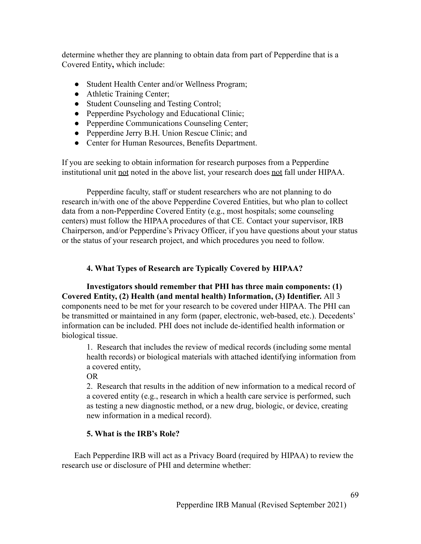determine whether they are planning to obtain data from part of Pepperdine that is a Covered Entity**,** which include:

- Student Health Center and/or Wellness Program;
- Athletic Training Center;
- Student Counseling and Testing Control;
- Pepperdine Psychology and Educational Clinic;
- Pepperdine Communications Counseling Center;
- Pepperdine Jerry B.H. Union Rescue Clinic; and
- Center for Human Resources, Benefits Department.

If you are seeking to obtain information for research purposes from a Pepperdine institutional unit not noted in the above list, your research does not fall under HIPAA.

Pepperdine faculty, staff or student researchers who are not planning to do research in/with one of the above Pepperdine Covered Entities, but who plan to collect data from a non-Pepperdine Covered Entity (e.g., most hospitals; some counseling centers) must follow the HIPAA procedures of that CE. Contact your supervisor, IRB Chairperson, and/or Pepperdine's Privacy Officer, if you have questions about your status or the status of your research project, and which procedures you need to follow.

## **4. What Types of Research are Typically Covered by HIPAA?**

**Investigators should remember that PHI has three main components: (1) Covered Entity, (2) Health (and mental health) Information, (3) Identifier.** All 3 components need to be met for your research to be covered under HIPAA. The PHI can be transmitted or maintained in any form (paper, electronic, web-based, etc.). Decedents' information can be included. PHI does not include de-identified health information or biological tissue.

1. Research that includes the review of medical records (including some mental health records) or biological materials with attached identifying information from a covered entity,

OR

2. Research that results in the addition of new information to a medical record of a covered entity (e.g., research in which a health care service is performed, such as testing a new diagnostic method, or a new drug, biologic, or device, creating new information in a medical record).

# **5. What is the IRB's Role?**

Each Pepperdine IRB will act as a Privacy Board (required by HIPAA) to review the research use or disclosure of PHI and determine whether: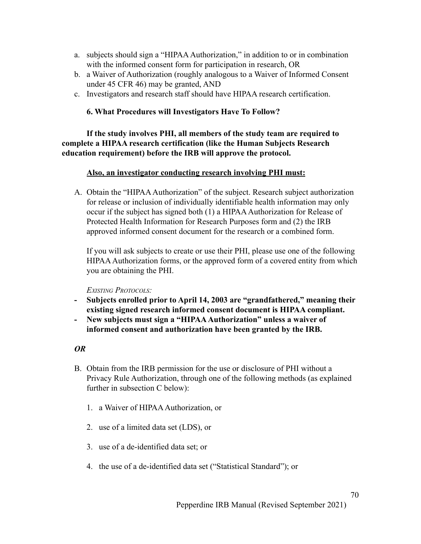- a. subjects should sign a "HIPAAAuthorization," in addition to or in combination with the informed consent form for participation in research, OR
- b. a Waiver of Authorization (roughly analogous to a Waiver of Informed Consent under 45 CFR 46) may be granted, AND
- c. Investigators and research staff should have HIPAA research certification.

### **6. What Procedures will Investigators Have To Follow?**

**If the study involves PHI, all members of the study team are required to complete a HIPAA research certification (like the Human Subjects Research education requirement) before the IRB will approve the protocol.**

#### **Also, an investigator conducting research involving PHI must:**

A. Obtain the "HIPAA Authorization" of the subject. Research subject authorization for release or inclusion of individually identifiable health information may only occur if the subject has signed both (1) a HIPAA Authorization for Release of Protected Health Information for Research Purposes form and (2) the IRB approved informed consent document for the research or a combined form.

If you will ask subjects to create or use their PHI, please use one of the following HIPAAAuthorization forms, or the approved form of a covered entity from which you are obtaining the PHI.

*EXISTING PROTOCOLS:*

- **- Subjects enrolled prior to April 14, 2003 are "grandfathered," meaning their existing signed research informed consent document is HIPAA compliant.**
- **- New subjects must sign a "HIPAAAuthorization" unless a waiver of informed consent and authorization have been granted by the IRB.**

#### *OR*

- B. Obtain from the IRB permission for the use or disclosure of PHI without a Privacy Rule Authorization, through one of the following methods (as explained further in subsection C below):
	- 1. a Waiver of HIPAA Authorization, or
	- 2. use of a limited data set (LDS), or
	- 3. use of a de-identified data set; or
	- 4. the use of a de-identified data set ("Statistical Standard"); or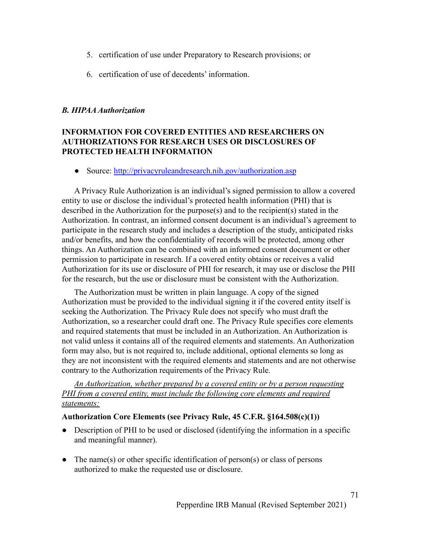- 5. certification of use under Preparatory to Research provisions; or
- 6. certification of use of decedents' information.

#### *B. HIPAAAuthorization*

#### **INFORMATION FOR COVERED ENTITIES AND RESEARCHERS ON AUTHORIZATIONS FOR RESEARCH USES OR DISCLOSURES OF PROTECTED HEALTH INFORMATION**

• Source: <http://privacyruleandresearch.nih.gov/authorization.asp>

A Privacy Rule Authorization is an individual's signed permission to allow a covered entity to use or disclose the individual's protected health information (PHI) that is described in the Authorization for the purpose(s) and to the recipient(s) stated in the Authorization. In contrast, an informed consent document is an individual's agreement to participate in the research study and includes a description of the study, anticipated risks and/or benefits, and how the confidentiality of records will be protected, among other things. An Authorization can be combined with an informed consent document or other permission to participate in research. If a covered entity obtains or receives a valid Authorization for its use or disclosure of PHI for research, it may use or disclose the PHI for the research, but the use or disclosure must be consistent with the Authorization.

The Authorization must be written in plain language. A copy of the signed Authorization must be provided to the individual signing it if the covered entity itself is seeking the Authorization. The Privacy Rule does not specify who must draft the Authorization, so a researcher could draft one. The Privacy Rule specifies core elements and required statements that must be included in an Authorization. An Authorization is not valid unless it contains all of the required elements and statements. An Authorization form may also, but is not required to, include additional, optional elements so long as they are not inconsistent with the required elements and statements and are not otherwise contrary to the Authorization requirements of the Privacy Rule.

*An Authorization, whether prepared by a covered entity or by a person requesting PHI from a covered entity, must include the following core elements and required statements:*

#### **Authorization Core Elements (see Privacy Rule, 45 C.F.R. §164.508(c)(1))**

- Description of PHI to be used or disclosed (identifying the information in a specific and meaningful manner).
- The name(s) or other specific identification of person(s) or class of persons authorized to make the requested use or disclosure.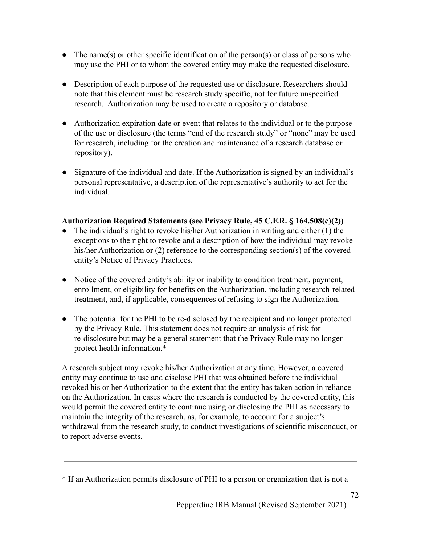- $\bullet$  The name(s) or other specific identification of the person(s) or class of persons who may use the PHI or to whom the covered entity may make the requested disclosure.
- Description of each purpose of the requested use or disclosure. Researchers should note that this element must be research study specific, not for future unspecified research. Authorization may be used to create a repository or database.
- Authorization expiration date or event that relates to the individual or to the purpose of the use or disclosure (the terms "end of the research study" or "none" may be used for research, including for the creation and maintenance of a research database or repository).
- Signature of the individual and date. If the Authorization is signed by an individual's personal representative, a description of the representative's authority to act for the individual.

### **Authorization Required Statements (see Privacy Rule, 45 C.F.R. § 164.508(c)(2))**

- The individual's right to revoke his/her Authorization in writing and either (1) the exceptions to the right to revoke and a description of how the individual may revoke his/her Authorization or (2) reference to the corresponding section(s) of the covered entity's Notice of Privacy Practices.
- Notice of the covered entity's ability or inability to condition treatment, payment, enrollment, or eligibility for benefits on the Authorization, including research-related treatment, and, if applicable, consequences of refusing to sign the Authorization.
- The potential for the PHI to be re-disclosed by the recipient and no longer protected by the Privacy Rule. This statement does not require an analysis of risk for re-disclosure but may be a general statement that the Privacy Rule may no longer protect health information.\*

A research subject may revoke his/her Authorization at any time. However, a covered entity may continue to use and disclose PHI that was obtained before the individual revoked his or her Authorization to the extent that the entity has taken action in reliance on the Authorization. In cases where the research is conducted by the covered entity, this would permit the covered entity to continue using or disclosing the PHI as necessary to maintain the integrity of the research, as, for example, to account for a subject's withdrawal from the research study, to conduct investigations of scientific misconduct, or to report adverse events.

<sup>\*</sup> If an Authorization permits disclosure of PHI to a person or organization that is not a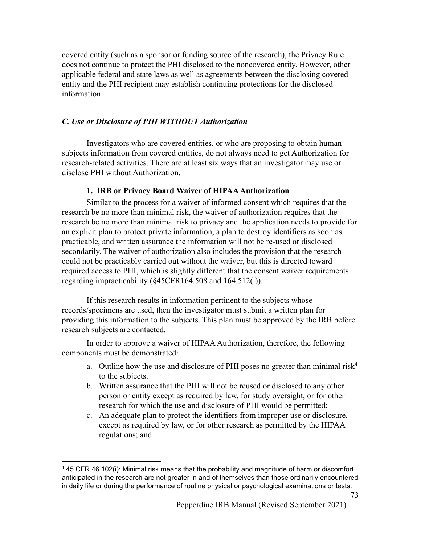covered entity (such as a sponsor or funding source of the research), the Privacy Rule does not continue to protect the PHI disclosed to the noncovered entity. However, other applicable federal and state laws as well as agreements between the disclosing covered entity and the PHI recipient may establish continuing protections for the disclosed information.

#### *C. Use or Disclosure of PHI WITHOUT Authorization*

Investigators who are covered entities, or who are proposing to obtain human subjects information from covered entities, do not always need to get Authorization for research-related activities. There are at least six ways that an investigator may use or disclose PHI without Authorization.

## **1. IRB or Privacy Board Waiver of HIPAAAuthorization**

Similar to the process for a waiver of informed consent which requires that the research be no more than minimal risk, the waiver of authorization requires that the research be no more than minimal risk to privacy and the application needs to provide for an explicit plan to protect private information, a plan to destroy identifiers as soon as practicable, and written assurance the information will not be re-used or disclosed secondarily. The waiver of authorization also includes the provision that the research could not be practicably carried out without the waiver, but this is directed toward required access to PHI, which is slightly different that the consent waiver requirements regarding impracticability (§45CFR164.508 and 164.512(i)).

If this research results in information pertinent to the subjects whose records/specimens are used, then the investigator must submit a written plan for providing this information to the subjects. This plan must be approved by the IRB before research subjects are contacted.

In order to approve a waiver of HIPAA Authorization, therefore, the following components must be demonstrated:

- a. Outline how the use and disclosure of PHI poses no greater than minimal risk<sup>4</sup> to the subjects.
- b. Written assurance that the PHI will not be reused or disclosed to any other person or entity except as required by law, for study oversight, or for other research for which the use and disclosure of PHI would be permitted;
- c. An adequate plan to protect the identifiers from improper use or disclosure, except as required by law, or for other research as permitted by the HIPAA regulations; and

 $445$  CFR 46.102(i): Minimal risk means that the probability and magnitude of harm or discomfort anticipated in the research are not greater in and of themselves than those ordinarily encountered in daily life or during the performance of routine physical or psychological examinations or tests.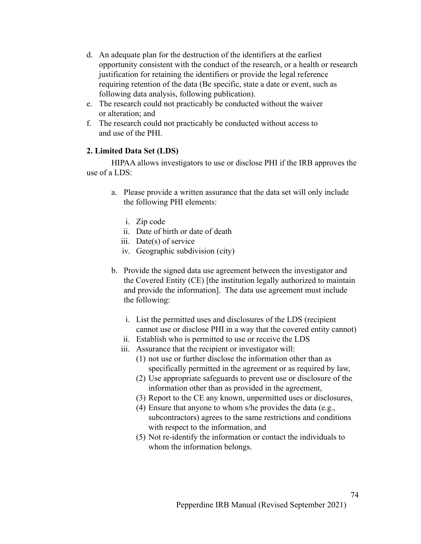- d. An adequate plan for the destruction of the identifiers at the earliest opportunity consistent with the conduct of the research, or a health or research justification for retaining the identifiers or provide the legal reference requiring retention of the data (Be specific, state a date or event, such as following data analysis, following publication).
- e. The research could not practicably be conducted without the waiver or alteration; and
- f. The research could not practicably be conducted without access to and use of the PHI.

#### **2. Limited Data Set (LDS)**

HIPAA allows investigators to use or disclose PHI if the IRB approves the use of a  $LDS^*$ 

- a. Please provide a written assurance that the data set will only include the following PHI elements:
	- i. Zip code
	- ii. Date of birth or date of death
	- iii. Date(s) of service
	- iv. Geographic subdivision (city)
- b. Provide the signed data use agreement between the investigator and the Covered Entity (CE) [the institution legally authorized to maintain and provide the information]. The data use agreement must include the following:
	- i. List the permitted uses and disclosures of the LDS (recipient cannot use or disclose PHI in a way that the covered entity cannot)
	- ii. Establish who is permitted to use or receive the LDS
	- iii. Assurance that the recipient or investigator will:
		- (1) not use or further disclose the information other than as specifically permitted in the agreement or as required by law,
		- (2) Use appropriate safeguards to prevent use or disclosure of the information other than as provided in the agreement,
		- (3) Report to the CE any known, unpermitted uses or disclosures,
		- (4) Ensure that anyone to whom s/he provides the data (e.g., subcontractors) agrees to the same restrictions and conditions with respect to the information, and
		- (5) Not re-identify the information or contact the individuals to whom the information belongs.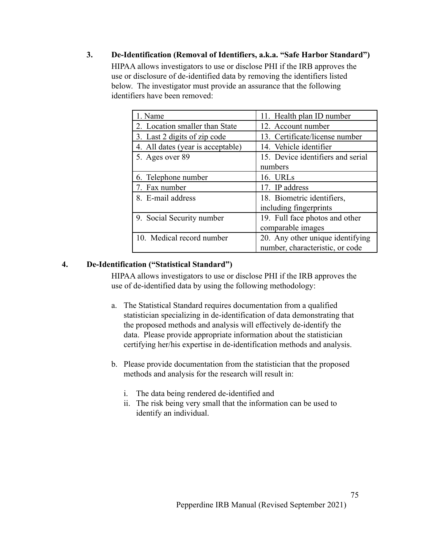**3. De-Identification (Removal of Identifiers, a.k.a. "Safe Harbor Standard")** HIPAA allows investigators to use or disclose PHI if the IRB approves the use or disclosure of de-identified data by removing the identifiers listed below. The investigator must provide an assurance that the following identifiers have been removed:

| 1. Name                           | 11. Health plan ID number         |
|-----------------------------------|-----------------------------------|
| 2. Location smaller than State    | 12. Account number                |
| 3. Last 2 digits of zip code      | 13. Certificate/license number    |
| 4. All dates (year is acceptable) | 14. Vehicle identifier            |
| 5. Ages over 89                   | 15. Device identifiers and serial |
|                                   | numbers                           |
| 6. Telephone number               | 16. URLs                          |
| 7. Fax number                     | 17. IP address                    |
| 8. E-mail address                 | 18. Biometric identifiers,        |
|                                   | including fingerprints            |
| 9. Social Security number         | 19. Full face photos and other    |
|                                   | comparable images                 |
| 10. Medical record number         | 20. Any other unique identifying  |
|                                   | number, characteristic, or code   |

## **4. De-Identification ("Statistical Standard")**

HIPAA allows investigators to use or disclose PHI if the IRB approves the use of de-identified data by using the following methodology:

- a. The Statistical Standard requires documentation from a qualified statistician specializing in de-identification of data demonstrating that the proposed methods and analysis will effectively de-identify the data. Please provide appropriate information about the statistician certifying her/his expertise in de-identification methods and analysis.
- b. Please provide documentation from the statistician that the proposed methods and analysis for the research will result in:
	- i. The data being rendered de-identified and
	- ii. The risk being very small that the information can be used to identify an individual.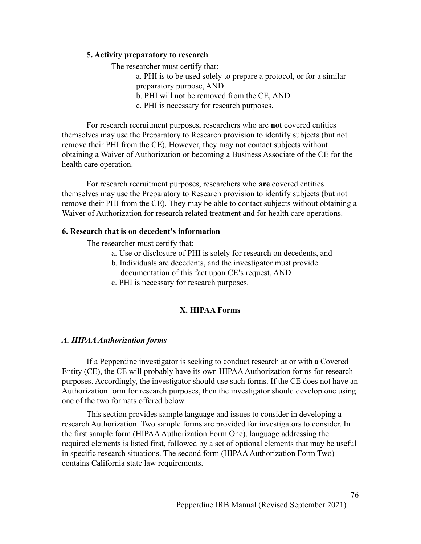#### **5. Activity preparatory to research**

The researcher must certify that:

a. PHI is to be used solely to prepare a protocol, or for a similar preparatory purpose, AND

b. PHI will not be removed from the CE, AND

c. PHI is necessary for research purposes.

For research recruitment purposes, researchers who are **not** covered entities themselves may use the Preparatory to Research provision to identify subjects (but not remove their PHI from the CE). However, they may not contact subjects without obtaining a Waiver of Authorization or becoming a Business Associate of the CE for the health care operation.

For research recruitment purposes, researchers who **are** covered entities themselves may use the Preparatory to Research provision to identify subjects (but not remove their PHI from the CE). They may be able to contact subjects without obtaining a Waiver of Authorization for research related treatment and for health care operations.

#### **6. Research that is on decedent's information**

The researcher must certify that:

- a. Use or disclosure of PHI is solely for research on decedents, and
- b. Individuals are decedents, and the investigator must provide documentation of this fact upon CE's request, AND
- c. PHI is necessary for research purposes.

# **X. HIPAA Forms**

#### *A. HIPAAAuthorization forms*

If a Pepperdine investigator is seeking to conduct research at or with a Covered Entity (CE), the CE will probably have its own HIPAA Authorization forms for research purposes. Accordingly, the investigator should use such forms. If the CE does not have an Authorization form for research purposes, then the investigator should develop one using one of the two formats offered below.

This section provides sample language and issues to consider in developing a research Authorization. Two sample forms are provided for investigators to consider. In the first sample form (HIPAA Authorization Form One), language addressing the required elements is listed first, followed by a set of optional elements that may be useful in specific research situations. The second form (HIPAA Authorization Form Two) contains California state law requirements.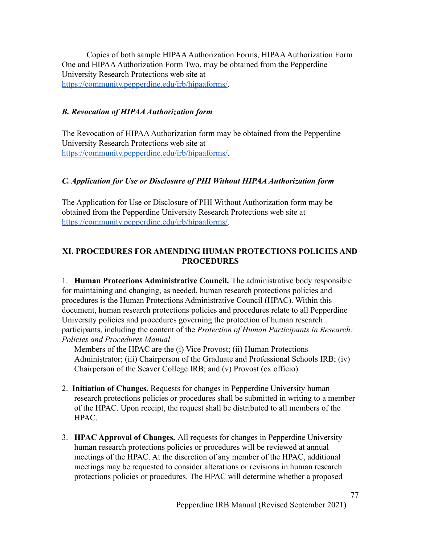Copies of both sample HIPAAAuthorization Forms, HIPAAAuthorization Form One and HIPAA Authorization Form Two, may be obtained from the Pepperdine University Research Protections web site at <https://community.pepperdine.edu/irb/hipaaforms/>.

# *B. Revocation of HIPAAAuthorization form*

The Revocation of HIPAA Authorization form may be obtained from the Pepperdine University Research Protections web site at <https://community.pepperdine.edu/irb/hipaaforms/>.

## *C. Application for Use or Disclosure of PHI Without HIPAAAuthorization form*

The Application for Use or Disclosure of PHI Without Authorization form may be obtained from the Pepperdine University Research Protections web site at <https://community.pepperdine.edu/irb/hipaaforms/>.

# **XI. PROCEDURES FOR AMENDING HUMAN PROTECTIONS POLICIES AND PROCEDURES**

1. **Human Protections Administrative Council.** The administrative body responsible for maintaining and changing, as needed, human research protections policies and procedures is the Human Protections Administrative Council (HPAC). Within this document, human research protections policies and procedures relate to all Pepperdine University policies and procedures governing the protection of human research participants, including the content of the *Protection of Human Participants in Research: Policies and Procedures Manual*

Members of the HPAC are the (i) Vice Provost; (ii) Human Protections Administrator; (iii) Chairperson of the Graduate and Professional Schools IRB; (iv) Chairperson of the Seaver College IRB; and (v) Provost (ex officio)

- 2. **Initiation of Changes.** Requests for changes in Pepperdine University human research protections policies or procedures shall be submitted in writing to a member of the HPAC. Upon receipt, the request shall be distributed to all members of the HPAC.
- 3. **HPAC Approval of Changes.** All requests for changes in Pepperdine University human research protections policies or procedures will be reviewed at annual meetings of the HPAC. At the discretion of any member of the HPAC, additional meetings may be requested to consider alterations or revisions in human research protections policies or procedures. The HPAC will determine whether a proposed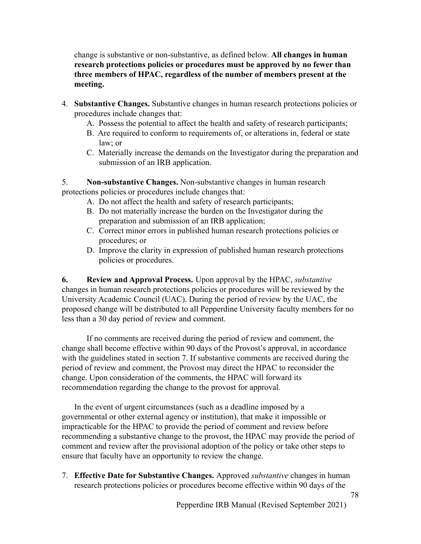change is substantive or non-substantive, as defined below. **All changes in human research protections policies or procedures must be approved by no fewer than three members of HPAC, regardless of the number of members present at the meeting.**

- 4. **Substantive Changes.** Substantive changes in human research protections policies or procedures include changes that:
	- A. Possess the potential to affect the health and safety of research participants;
	- B. Are required to conform to requirements of, or alterations in, federal or state law; or
	- C. Materially increase the demands on the Investigator during the preparation and submission of an IRB application.

5. **Non-substantive Changes.** Non-substantive changes in human research protections policies or procedures include changes that:

- A. Do not affect the health and safety of research participants;
- B. Do not materially increase the burden on the Investigator during the preparation and submission of an IRB application;
- C. Correct minor errors in published human research protections policies or procedures; or
- D. Improve the clarity in expression of published human research protections policies or procedures.

**6. Review and Approval Process.** Upon approval by the HPAC, *substantive* changes in human research protections policies or procedures will be reviewed by the University Academic Council (UAC). During the period of review by the UAC, the proposed change will be distributed to all Pepperdine University faculty members for no less than a 30 day period of review and comment.

If no comments are received during the period of review and comment, the change shall become effective within 90 days of the Provost's approval, in accordance with the guidelines stated in section 7. If substantive comments are received during the period of review and comment, the Provost may direct the HPAC to reconsider the change. Upon consideration of the comments, the HPAC will forward its recommendation regarding the change to the provost for approval.

In the event of urgent circumstances (such as a deadline imposed by a governmental or other external agency or institution), that make it impossible or impracticable for the HPAC to provide the period of comment and review before recommending a substantive change to the provost, the HPAC may provide the period of comment and review after the provisional adoption of the policy or take other steps to ensure that faculty have an opportunity to review the change.

7. **Effective Date for Substantive Changes.** Approved *substantive* changes in human research protections policies or procedures become effective within 90 days of the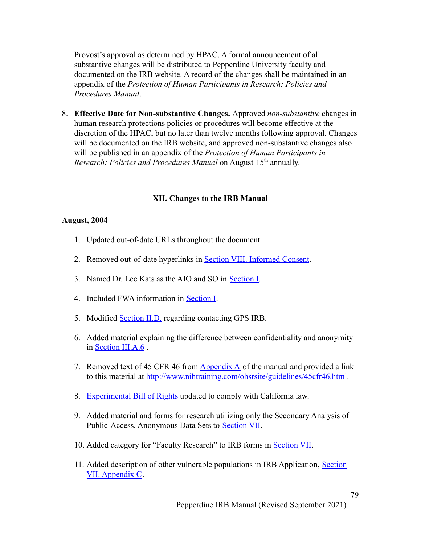Provost's approval as determined by HPAC. A formal announcement of all substantive changes will be distributed to Pepperdine University faculty and documented on the IRB website. A record of the changes shall be maintained in an appendix of the *Protection of Human Participants in Research: Policies and Procedures Manual*.

8. **Effective Date for Non-substantive Changes.** Approved *non-substantive* changes in human research protections policies or procedures will become effective at the discretion of the HPAC, but no later than twelve months following approval. Changes will be documented on the IRB website, and approved non-substantive changes also will be published in an appendix of the *Protection of Human Participants in Research: Policies and Procedures Manual* on August 15<sup>th</sup> annually.

#### **XII. Changes to the IRB Manual**

#### **August, 2004**

- 1. Updated out-of-date URLs throughout the document.
- 2. Removed out-of-date hyperlinks in [Section VIII. Informed](#page-58-0) Consent.
- 3. Named Dr. Lee Kats as the AIO and SO in Section I.
- 4. Included FWA information in Section I.
- 5. Modified [Section II.D.](#page-22-0) regarding contacting GPS IRB.
- 6. Added material explaining the difference between confidentiality and anonymity in [Section III.A.6](#page-29-0) .
- 7. Removed text of 45 CFR 46 from [Appendix A](#page-44-0) of the manual and provided a link to this material at [http://www.nihtraining.com/ohsrsite/guidelines/45cfr46.html.](http://www.nihtraining.com/ohsrsite/guidelines/45cfr46.html)
- 8. [Experimental Bill of Rights](#page-57-0) updated to comply with California law.
- 9. Added material and forms for research utilizing only the Secondary Analysis of Public-Access, Anonymous Data Sets to Section VII.
- 10. Added category for "Faculty Research" to IRB forms in [Section VII](#page-58-1).
- 11. Added description of other vulnerable populations in IRB Application, Section VII. Appendix C.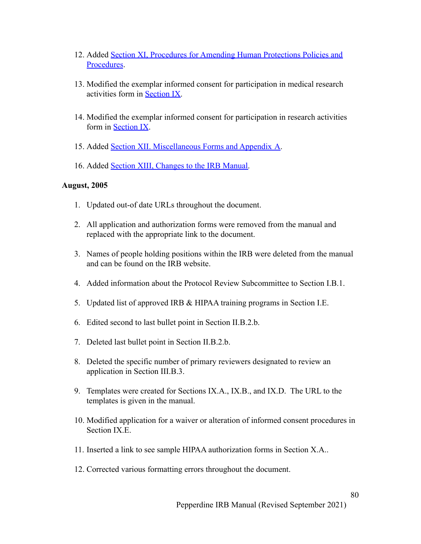- 12. Added Section XI, Procedures for Amending Human Protections Policies and Procedures.
- 13. Modified the exemplar informed consent for participation in medical research activities form in Section IX.
- 14. Modified the exemplar informed consent for participation in research activities form in Section IX.
- 15. Added Section XII. Miscellaneous Forms and Appendix A.
- 16. Added Section XIII, Changes to the IRB Manual.

#### **August, 2005**

- 1. Updated out-of date URLs throughout the document.
- 2. All application and authorization forms were removed from the manual and replaced with the appropriate link to the document.
- 3. Names of people holding positions within the IRB were deleted from the manual and can be found on the IRB website.
- 4. Added information about the Protocol Review Subcommittee to Section I.B.1.
- 5. Updated list of approved IRB & HIPAA training programs in Section I.E.
- 6. Edited second to last bullet point in Section II.B.2.b.
- 7. Deleted last bullet point in Section II.B.2.b.
- 8. Deleted the specific number of primary reviewers designated to review an application in Section III.B.3.
- 9. Templates were created for Sections IX.A., IX.B., and IX.D. The URL to the templates is given in the manual.
- 10. Modified application for a waiver or alteration of informed consent procedures in Section IX<sub>E</sub>
- 11. Inserted a link to see sample HIPAA authorization forms in Section X.A..
- 12. Corrected various formatting errors throughout the document.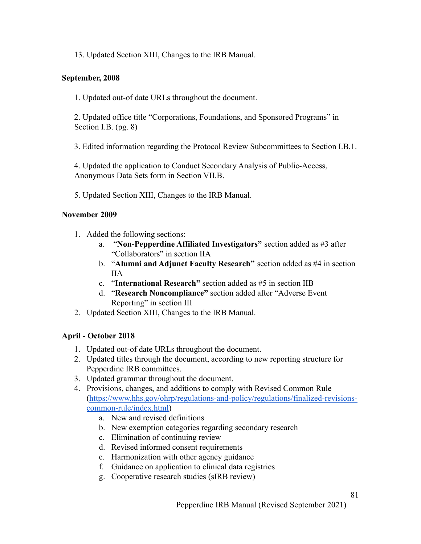13. Updated Section XIII, Changes to the IRB Manual.

## **September, 2008**

1. Updated out-of date URLs throughout the document.

2. Updated office title "Corporations, Foundations, and Sponsored Programs" in Section I.B. (pg. 8)

3. Edited information regarding the Protocol Review Subcommittees to Section I.B.1.

4. Updated the application to Conduct Secondary Analysis of Public-Access, Anonymous Data Sets form in Section VII.B.

5. Updated Section XIII, Changes to the IRB Manual.

## **November 2009**

- 1. Added the following sections:
	- a. "**Non-Pepperdine Affiliated Investigators"** section added as #3 after "Collaborators" in section IIA
	- b. "**Alumni and Adjunct Faculty Research"** section added as #4 in section IIA
	- c. "**International Research"** section added as #5 in section IIB
	- d. "**Research Noncompliance"** section added after "Adverse Event Reporting" in section III
- 2. Updated Section XIII, Changes to the IRB Manual.

# **April - October 2018**

- 1. Updated out-of date URLs throughout the document.
- 2. Updated titles through the document, according to new reporting structure for Pepperdine IRB committees.
- 3. Updated grammar throughout the document.
- 4. Provisions, changes, and additions to comply with Revised Common Rule ([https://www.hhs.gov/ohrp/regulations-and-policy/regulations/finalized-revisions](https://www.hhs.gov/ohrp/regulations-and-policy/regulations/finalized-revisions-common-rule/index.html)[common-rule/index.html\)](https://www.hhs.gov/ohrp/regulations-and-policy/regulations/finalized-revisions-common-rule/index.html)
	- a. New and revised definitions
	- b. New exemption categories regarding secondary research
	- c. Elimination of continuing review
	- d. Revised informed consent requirements
	- e. Harmonization with other agency guidance
	- f. Guidance on application to clinical data registries
	- g. Cooperative research studies (sIRB review)